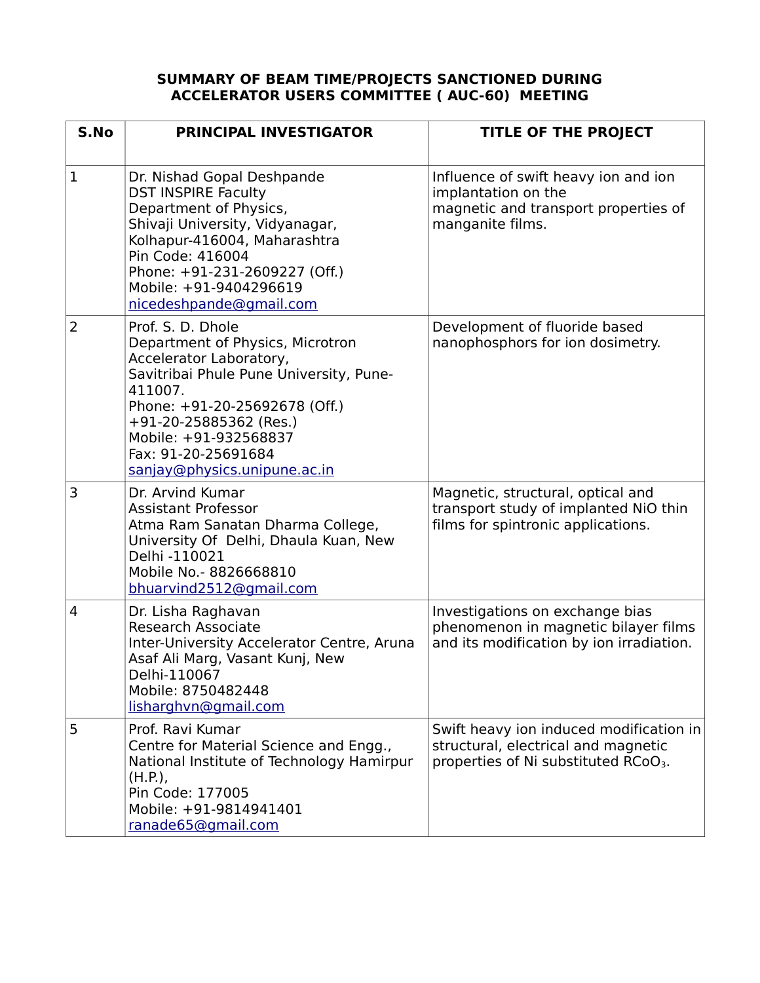## **SUMMARY OF BEAM TIME/PROJECTS SANCTIONED DURING ACCELERATOR USERS COMMITTEE ( AUC-60) MEETING**

| S.No           | <b>PRINCIPAL INVESTIGATOR</b>                                                                                                                                                                                                                                                       | TITLE OF THE PROJECT                                                                                                               |
|----------------|-------------------------------------------------------------------------------------------------------------------------------------------------------------------------------------------------------------------------------------------------------------------------------------|------------------------------------------------------------------------------------------------------------------------------------|
| $\mathbf{1}$   | Dr. Nishad Gopal Deshpande<br><b>DST INSPIRE Faculty</b><br>Department of Physics,<br>Shivaji University, Vidyanagar,<br>Kolhapur-416004, Maharashtra<br>Pin Code: 416004<br>Phone: +91-231-2609227 (Off.)<br>Mobile: +91-9404296619<br>nicedeshpande@gmail.com                     | Influence of swift heavy ion and ion<br>implantation on the<br>magnetic and transport properties of<br>manganite films.            |
| $\overline{2}$ | Prof. S. D. Dhole<br>Department of Physics, Microtron<br>Accelerator Laboratory,<br>Savitribai Phule Pune University, Pune-<br>411007.<br>Phone: +91-20-25692678 (Off.)<br>$+91-20-25885362$ (Res.)<br>Mobile: +91-932568837<br>Fax: 91-20-25691684<br>sanjay@physics.unipune.ac.in | Development of fluoride based<br>nanophosphors for ion dosimetry.                                                                  |
| 3              | Dr. Arvind Kumar<br><b>Assistant Professor</b><br>Atma Ram Sanatan Dharma College,<br>University Of Delhi, Dhaula Kuan, New<br>Delhi -110021<br>Mobile No. - 8826668810<br>bhuarvind2512@gmail.com                                                                                  | Magnetic, structural, optical and<br>transport study of implanted NiO thin<br>films for spintronic applications.                   |
| $\overline{4}$ | Dr. Lisha Raghavan<br><b>Research Associate</b><br>Inter-University Accelerator Centre, Aruna<br>Asaf Ali Marg, Vasant Kunj, New<br>Delhi-110067<br>Mobile: 8750482448<br>lisharghvn@gmail.com                                                                                      | Investigations on exchange bias<br>phenomenon in magnetic bilayer films<br>and its modification by ion irradiation.                |
| 5              | Prof. Ravi Kumar<br>Centre for Material Science and Engg.,<br>National Institute of Technology Hamirpur<br>(H.P.)<br>Pin Code: 177005<br>Mobile: +91-9814941401<br>ranade65@gmail.com                                                                                               | Swift heavy ion induced modification in<br>structural, electrical and magnetic<br>properties of Ni substituted RCoO <sub>3</sub> . |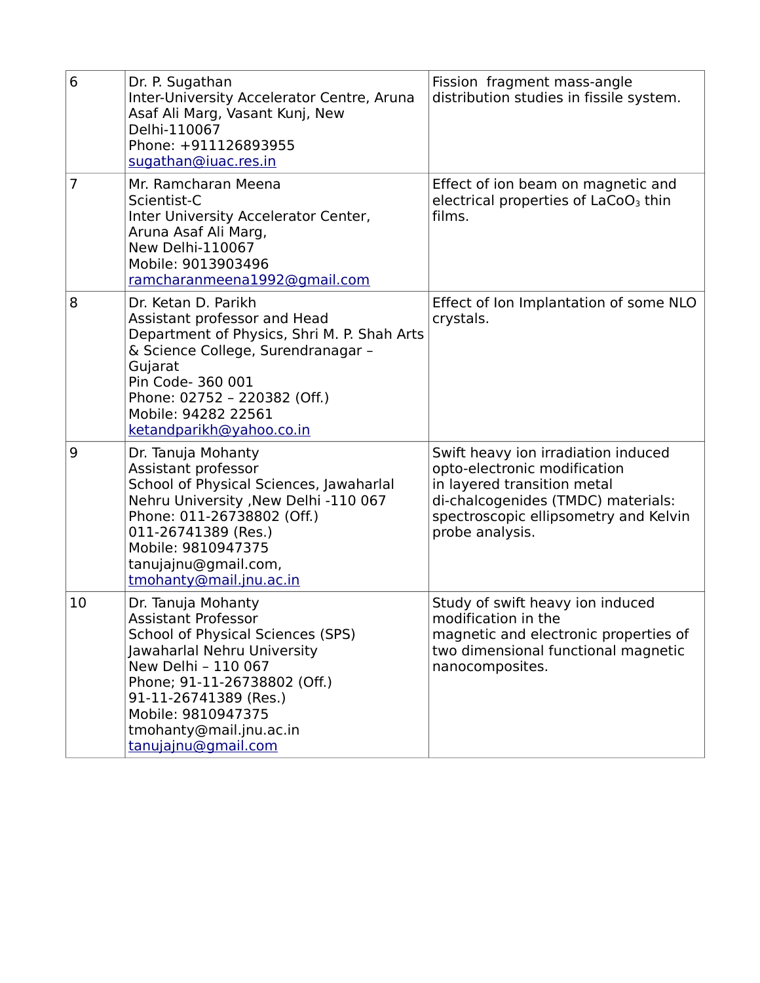| 6              | Dr. P. Sugathan<br>Inter-University Accelerator Centre, Aruna<br>Asaf Ali Marg, Vasant Kunj, New<br>Delhi-110067<br>Phone: +911126893955<br>sugathan@iuac.res.in                                                                                                                    | Fission fragment mass-angle<br>distribution studies in fissile system.                                                                                                                               |
|----------------|-------------------------------------------------------------------------------------------------------------------------------------------------------------------------------------------------------------------------------------------------------------------------------------|------------------------------------------------------------------------------------------------------------------------------------------------------------------------------------------------------|
| $\overline{7}$ | Mr. Ramcharan Meena<br>Scientist-C<br>Inter University Accelerator Center,<br>Aruna Asaf Ali Marg,<br><b>New Delhi-110067</b><br>Mobile: 9013903496<br>ramcharanmeena1992@gmail.com                                                                                                 | Effect of ion beam on magnetic and<br>electrical properties of LaCoO <sub>3</sub> thin<br>films.                                                                                                     |
| 8              | Dr. Ketan D. Parikh<br>Assistant professor and Head<br>Department of Physics, Shri M. P. Shah Arts<br>& Science College, Surendranagar -<br>Gujarat<br>Pin Code- 360 001<br>Phone: 02752 - 220382 (Off.)<br>Mobile: 94282 22561<br>ketandparikh@yahoo.co.in                         | Effect of Ion Implantation of some NLO<br>crystals.                                                                                                                                                  |
| 9              | Dr. Tanuja Mohanty<br>Assistant professor<br>School of Physical Sciences, Jawaharlal<br>Nehru University , New Delhi -110 067<br>Phone: 011-26738802 (Off.)<br>011-26741389 (Res.)<br>Mobile: 9810947375<br>tanujajnu@gmail.com,<br>tmohanty@mail.jnu.ac.in                         | Swift heavy ion irradiation induced<br>opto-electronic modification<br>in layered transition metal<br>di-chalcogenides (TMDC) materials:<br>spectroscopic ellipsometry and Kelvin<br>probe analysis. |
| 10             | Dr. Tanuja Mohanty<br><b>Assistant Professor</b><br><b>School of Physical Sciences (SPS)</b><br>Jawaharlal Nehru University<br>New Delhi - 110 067<br>Phone; 91-11-26738802 (Off.)<br>91-11-26741389 (Res.)<br>Mobile: 9810947375<br>tmohanty@mail.jnu.ac.in<br>tanujajnu@gmail.com | Study of swift heavy ion induced<br>modification in the<br>magnetic and electronic properties of<br>two dimensional functional magnetic<br>nanocomposites.                                           |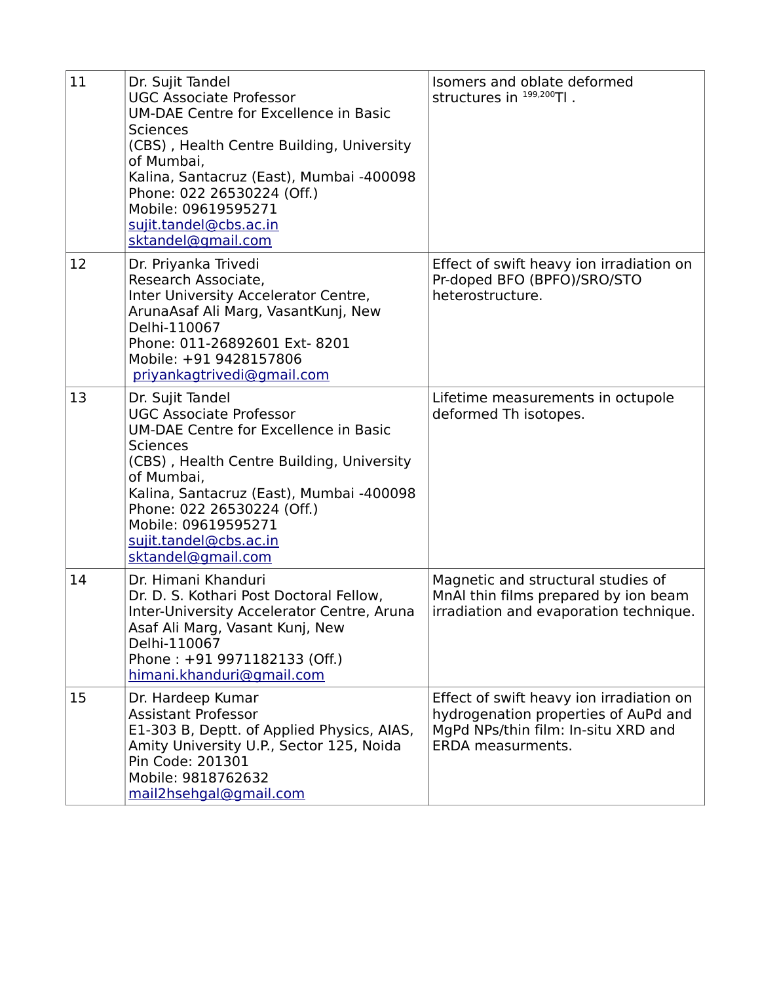| 11 | Dr. Sujit Tandel<br><b>UGC Associate Professor</b><br><b>UM-DAE Centre for Excellence in Basic</b><br><b>Sciences</b><br>(CBS), Health Centre Building, University<br>of Mumbai,<br>Kalina, Santacruz (East), Mumbai -400098<br>Phone: 022 26530224 (Off.)<br>Mobile: 09619595271<br>sujit.tandel@cbs.ac.in<br>sktandel@gmail.com | Isomers and oblate deformed<br>structures in 199,200Tl.                                                                                             |
|----|-----------------------------------------------------------------------------------------------------------------------------------------------------------------------------------------------------------------------------------------------------------------------------------------------------------------------------------|-----------------------------------------------------------------------------------------------------------------------------------------------------|
| 12 | Dr. Priyanka Trivedi<br>Research Associate,<br>Inter University Accelerator Centre,<br>ArunaAsaf Ali Marg, VasantKunj, New<br>Delhi-110067<br>Phone: 011-26892601 Ext- 8201<br>Mobile: +91 9428157806<br>priyankagtrivedi@gmail.com                                                                                               | Effect of swift heavy ion irradiation on<br>Pr-doped BFO (BPFO)/SRO/STO<br>heterostructure.                                                         |
| 13 | Dr. Sujit Tandel<br><b>UGC Associate Professor</b><br><b>UM-DAE Centre for Excellence in Basic</b><br><b>Sciences</b><br>(CBS), Health Centre Building, University<br>of Mumbai,<br>Kalina, Santacruz (East), Mumbai -400098<br>Phone: 022 26530224 (Off.)<br>Mobile: 09619595271<br>sujit.tandel@cbs.ac.in<br>sktandel@gmail.com | Lifetime measurements in octupole<br>deformed Th isotopes.                                                                                          |
| 14 | Dr. Himani Khanduri<br>Dr. D. S. Kothari Post Doctoral Fellow,<br>Inter-University Accelerator Centre, Aruna<br>Asaf Ali Marg, Vasant Kunj, New<br>Delhi-110067<br>Phone: +91 9971182133 (Off.)<br>himani.khanduri@gmail.com                                                                                                      | Magnetic and structural studies of<br>MnAI thin films prepared by ion beam<br>irradiation and evaporation technique.                                |
| 15 | Dr. Hardeep Kumar<br><b>Assistant Professor</b><br>E1-303 B, Deptt. of Applied Physics, AIAS,<br>Amity University U.P., Sector 125, Noida<br>Pin Code: 201301<br>Mobile: 9818762632<br>mail2hsehgal@gmail.com                                                                                                                     | Effect of swift heavy ion irradiation on<br>hydrogenation properties of AuPd and<br>MgPd NPs/thin film: In-situ XRD and<br><b>ERDA</b> measurments. |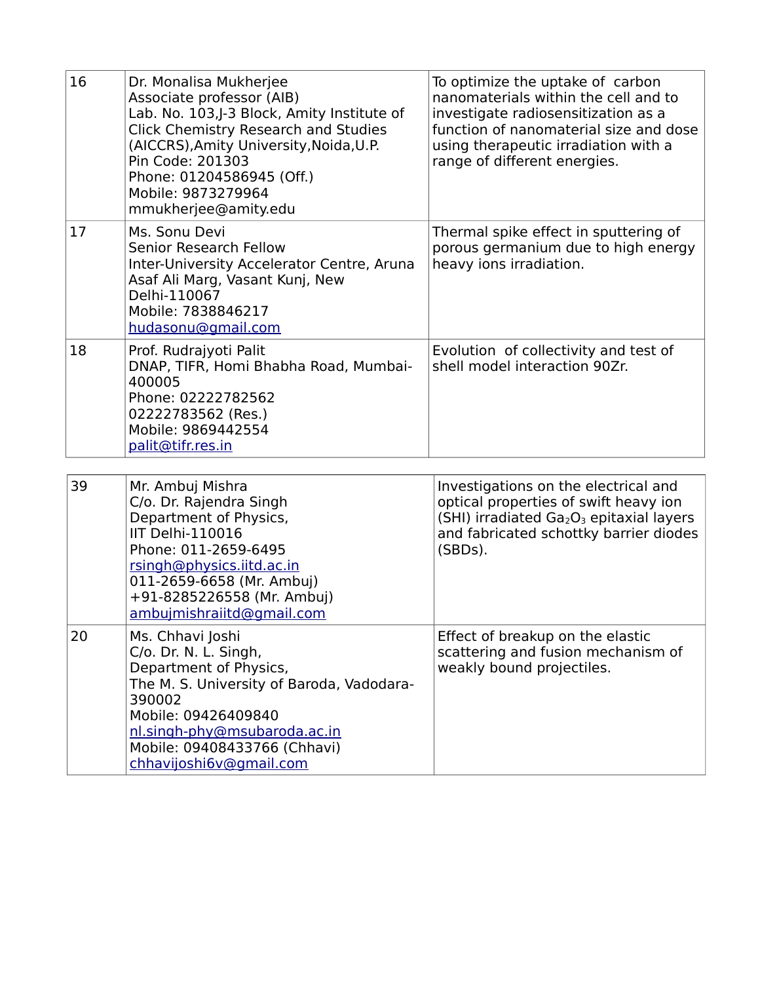| 16 | Dr. Monalisa Mukherjee<br>Associate professor (AIB)<br>Lab. No. 103,J-3 Block, Amity Institute of<br><b>Click Chemistry Research and Studies</b><br>(AICCRS), Amity University, Noida, U.P.<br>Pin Code: 201303<br>Phone: 01204586945 (Off.)<br>Mobile: 9873279964<br>mmukherjee@amity.edu | To optimize the uptake of carbon<br>nanomaterials within the cell and to<br>investigate radiosensitization as a<br>function of nanomaterial size and dose<br>using therapeutic irradiation with a<br>range of different energies. |
|----|--------------------------------------------------------------------------------------------------------------------------------------------------------------------------------------------------------------------------------------------------------------------------------------------|-----------------------------------------------------------------------------------------------------------------------------------------------------------------------------------------------------------------------------------|
| 17 | Ms. Sonu Devi<br>Senior Research Fellow<br>Inter-University Accelerator Centre, Aruna<br>Asaf Ali Marg, Vasant Kunj, New<br>Delhi-110067<br>Mobile: 7838846217<br>hudasonu@gmail.com                                                                                                       | Thermal spike effect in sputtering of<br>porous germanium due to high energy<br>heavy ions irradiation.                                                                                                                           |
| 18 | Prof. Rudrajyoti Palit<br>DNAP, TIFR, Homi Bhabha Road, Mumbai-<br>400005<br>Phone: 02222782562<br>02222783562 (Res.)<br>Mobile: 9869442554<br>palit@tifr.res.in                                                                                                                           | Evolution of collectivity and test of<br>shell model interaction 90Zr.                                                                                                                                                            |
| 39 | Mr. Ambuj Mishra<br>C/o. Dr. Rajendra Singh<br>Department of Physics,<br>IIT Delhi-110016<br>Phone: 011-2659-6495<br>rsingh@physics.iitd.ac.in                                                                                                                                             | Investigations on the electrical and<br>optical properties of swift heavy ion<br>(SHI) irradiated Ga <sub>2</sub> O <sub>3</sub> epitaxial layers<br>and fabricated schottky barrier diodes<br>(SBDs).                            |

|    | 011-2659-6658 (Mr. Ambuj)<br>+91-8285226558 (Mr. Ambuj)<br>ambujmishraiitd@gmail.com                                                                                                                                                         |                                                                                                     |
|----|----------------------------------------------------------------------------------------------------------------------------------------------------------------------------------------------------------------------------------------------|-----------------------------------------------------------------------------------------------------|
| 20 | Ms. Chhavi Joshi<br>C/o. Dr. N. L. Singh,<br>Department of Physics,<br>The M. S. University of Baroda, Vadodara-<br>390002<br>Mobile: 09426409840<br>nl.singh-phy@msubaroda.ac.in<br>Mobile: 09408433766 (Chhavi)<br>chhavijoshi6v@gmail.com | Effect of breakup on the elastic<br>scattering and fusion mechanism of<br>weakly bound projectiles. |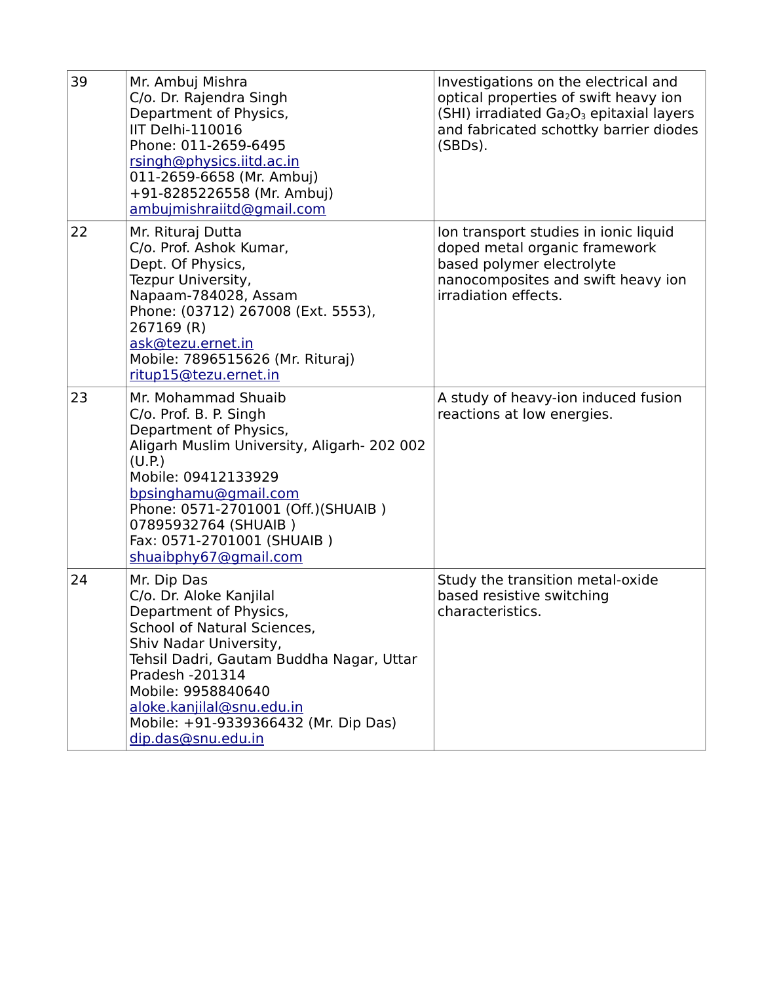| 39 | Mr. Ambuj Mishra<br>C/o. Dr. Rajendra Singh<br>Department of Physics,<br>IIT Delhi-110016<br>Phone: 011-2659-6495<br>rsingh@physics.iitd.ac.in<br>011-2659-6658 (Mr. Ambuj)<br>+91-8285226558 (Mr. Ambuj)<br>ambujmishraiitd@gmail.com                                                                           | Investigations on the electrical and<br>optical properties of swift heavy ion<br>(SHI) irradiated $Ga2O3$ epitaxial layers<br>and fabricated schottky barrier diodes<br>(SBDs). |
|----|------------------------------------------------------------------------------------------------------------------------------------------------------------------------------------------------------------------------------------------------------------------------------------------------------------------|---------------------------------------------------------------------------------------------------------------------------------------------------------------------------------|
| 22 | Mr. Rituraj Dutta<br>C/o. Prof. Ashok Kumar,<br>Dept. Of Physics,<br>Tezpur University,<br>Napaam-784028, Assam<br>Phone: (03712) 267008 (Ext. 5553),<br>267169 (R)<br>ask@tezu.ernet.in<br>Mobile: 7896515626 (Mr. Rituraj)<br>ritup15@tezu.ernet.in                                                            | Ion transport studies in ionic liquid<br>doped metal organic framework<br>based polymer electrolyte<br>nanocomposites and swift heavy ion<br>irradiation effects.               |
| 23 | Mr. Mohammad Shuaib<br>C/o. Prof. B. P. Singh<br>Department of Physics,<br>Aligarh Muslim University, Aligarh- 202 002<br>(U.P.)<br>Mobile: 09412133929<br>bpsinghamu@gmail.com<br>Phone: 0571-2701001 (Off.)(SHUAIB)<br>07895932764 (SHUAIB)<br>Fax: 0571-2701001 (SHUAIB)<br>shuaibphy67@gmail.com             | A study of heavy-ion induced fusion<br>reactions at low energies.                                                                                                               |
| 24 | Mr. Dip Das<br>C/o. Dr. Aloke Kanjilal<br>Department of Physics,<br>School of Natural Sciences,<br>Shiv Nadar University,<br>Tehsil Dadri, Gautam Buddha Nagar, Uttar<br>Pradesh -201314<br>Mobile: 9958840640<br>aloke.kanjilal@snu.edu.in<br>Mobile: +91-9339366432 (Mr. Dip Das)<br><u>dip.das@snu.edu.in</u> | Study the transition metal-oxide<br>based resistive switching<br>characteristics.                                                                                               |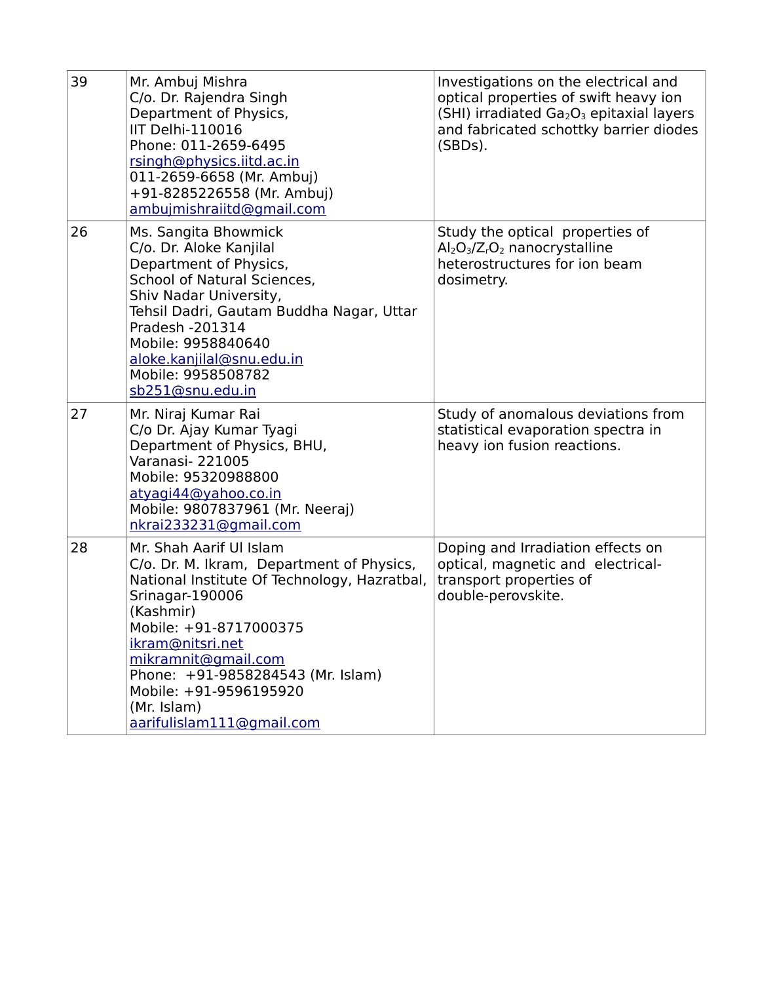| 39 | Mr. Ambuj Mishra<br>C/o. Dr. Rajendra Singh<br>Department of Physics,<br>IIT Delhi-110016<br>Phone: 011-2659-6495<br>rsingh@physics.iitd.ac.in<br>011-2659-6658 (Mr. Ambuj)<br>+91-8285226558 (Mr. Ambuj)<br>ambujmishraiitd@gmail.com                                                                                               | Investigations on the electrical and<br>optical properties of swift heavy ion<br>(SHI) irradiated Ga <sub>2</sub> O <sub>3</sub> epitaxial layers<br>and fabricated schottky barrier diodes<br>(SBDs). |
|----|--------------------------------------------------------------------------------------------------------------------------------------------------------------------------------------------------------------------------------------------------------------------------------------------------------------------------------------|--------------------------------------------------------------------------------------------------------------------------------------------------------------------------------------------------------|
| 26 | Ms. Sangita Bhowmick<br>C/o. Dr. Aloke Kanjilal<br>Department of Physics,<br>School of Natural Sciences,<br>Shiv Nadar University,<br>Tehsil Dadri, Gautam Buddha Nagar, Uttar<br>Pradesh -201314<br>Mobile: 9958840640<br>aloke.kanjilal@snu.edu.in<br>Mobile: 9958508782<br>sb251@snu.edu.in                                       | Study the optical properties of<br>$Al_2O_3/Z_rO_2$ nanocrystalline<br>heterostructures for ion beam<br>dosimetry.                                                                                     |
| 27 | Mr. Niraj Kumar Rai<br>C/o Dr. Ajay Kumar Tyagi<br>Department of Physics, BHU,<br>Varanasi- 221005<br>Mobile: 95320988800<br>atyagi44@yahoo.co.in<br>Mobile: 9807837961 (Mr. Neeraj)<br>nkrai233231@gmail.com                                                                                                                        | Study of anomalous deviations from<br>statistical evaporation spectra in<br>heavy ion fusion reactions.                                                                                                |
| 28 | Mr. Shah Aarif Ul Islam<br>C/o. Dr. M. Ikram, Department of Physics,<br>National Institute Of Technology, Hazratbal,<br>Srinagar-190006<br>(Kashmir)<br>Mobile: +91-8717000375<br>ikram@nitsri.net<br>mikramnit@gmail.com<br>Phone: +91-9858284543 (Mr. Islam)<br>Mobile: +91-9596195920<br>(Mr. Islam)<br>aarifulislam111@gmail.com | Doping and Irradiation effects on<br>optical, magnetic and electrical-<br>transport properties of<br>double-perovskite.                                                                                |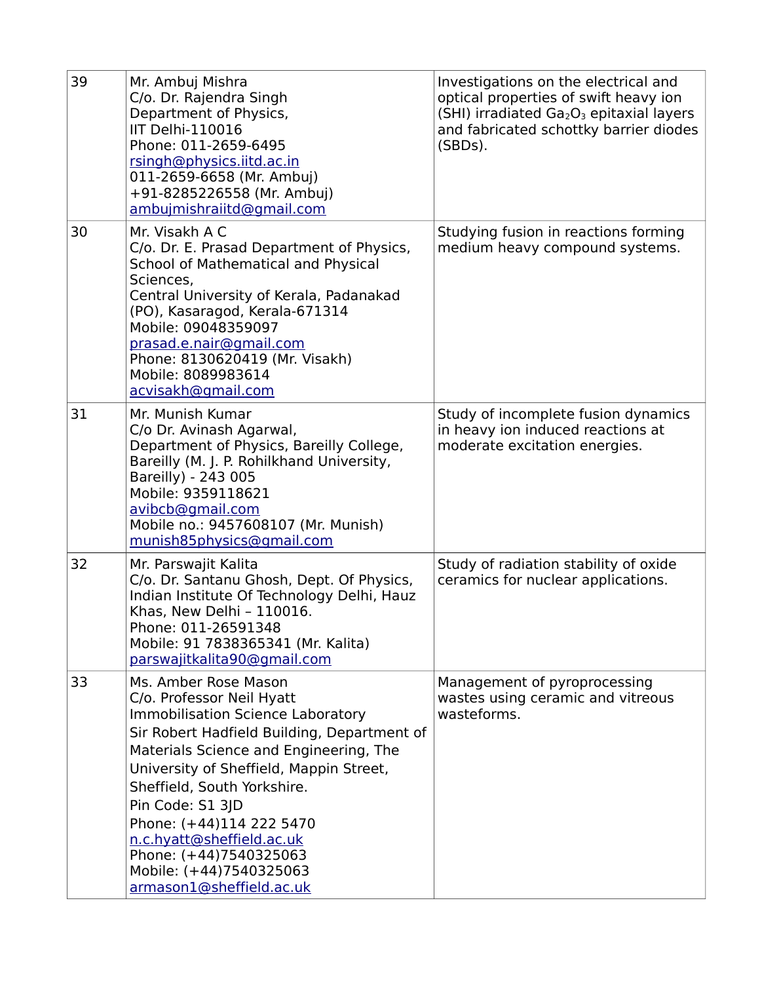| 39 | Mr. Ambuj Mishra<br>C/o. Dr. Rajendra Singh<br>Department of Physics,<br>IIT Delhi-110016<br>Phone: 011-2659-6495<br>rsingh@physics.iitd.ac.in<br>011-2659-6658 (Mr. Ambuj)<br>+91-8285226558 (Mr. Ambuj)<br>ambujmishraiitd@gmail.com                                                                                                                                                                                         | Investigations on the electrical and<br>optical properties of swift heavy ion<br>(SHI) irradiated $Ga2O3$ epitaxial layers<br>and fabricated schottky barrier diodes<br>(SBDs). |
|----|--------------------------------------------------------------------------------------------------------------------------------------------------------------------------------------------------------------------------------------------------------------------------------------------------------------------------------------------------------------------------------------------------------------------------------|---------------------------------------------------------------------------------------------------------------------------------------------------------------------------------|
| 30 | Mr. Visakh A C<br>C/o. Dr. E. Prasad Department of Physics,<br>School of Mathematical and Physical<br>Sciences,<br>Central University of Kerala, Padanakad<br>(PO), Kasaragod, Kerala-671314<br>Mobile: 09048359097<br>prasad.e.nair@gmail.com<br>Phone: 8130620419 (Mr. Visakh)<br>Mobile: 8089983614<br>acvisakh@gmail.com                                                                                                   | Studying fusion in reactions forming<br>medium heavy compound systems.                                                                                                          |
| 31 | Mr. Munish Kumar<br>C/o Dr. Avinash Agarwal,<br>Department of Physics, Bareilly College,<br>Bareilly (M. J. P. Rohilkhand University,<br>Bareilly) - 243 005<br>Mobile: 9359118621<br>avibcb@gmail.com<br>Mobile no.: 9457608107 (Mr. Munish)<br>munish85physics@gmail.com                                                                                                                                                     | Study of incomplete fusion dynamics<br>in heavy ion induced reactions at<br>moderate excitation energies.                                                                       |
| 32 | Mr. Parswajit Kalita<br>C/o. Dr. Santanu Ghosh, Dept. Of Physics,<br>Indian Institute Of Technology Delhi, Hauz<br>Khas, New Delhi - 110016.<br>Phone: 011-26591348<br>Mobile: 91 7838365341 (Mr. Kalita)<br>parswajitkalita90@qmail.com                                                                                                                                                                                       | Study of radiation stability of oxide<br>ceramics for nuclear applications.                                                                                                     |
| 33 | Ms. Amber Rose Mason<br>C/o. Professor Neil Hyatt<br><b>Immobilisation Science Laboratory</b><br>Sir Robert Hadfield Building, Department of<br>Materials Science and Engineering, The<br>University of Sheffield, Mappin Street,<br>Sheffield, South Yorkshire.<br>Pin Code: S1 3JD<br>Phone: (+44)114 222 5470<br>n.c.hyatt@sheffield.ac.uk<br>Phone: (+44)7540325063<br>Mobile: (+44)7540325063<br>armason1@sheffield.ac.uk | Management of pyroprocessing<br>wastes using ceramic and vitreous<br>wasteforms.                                                                                                |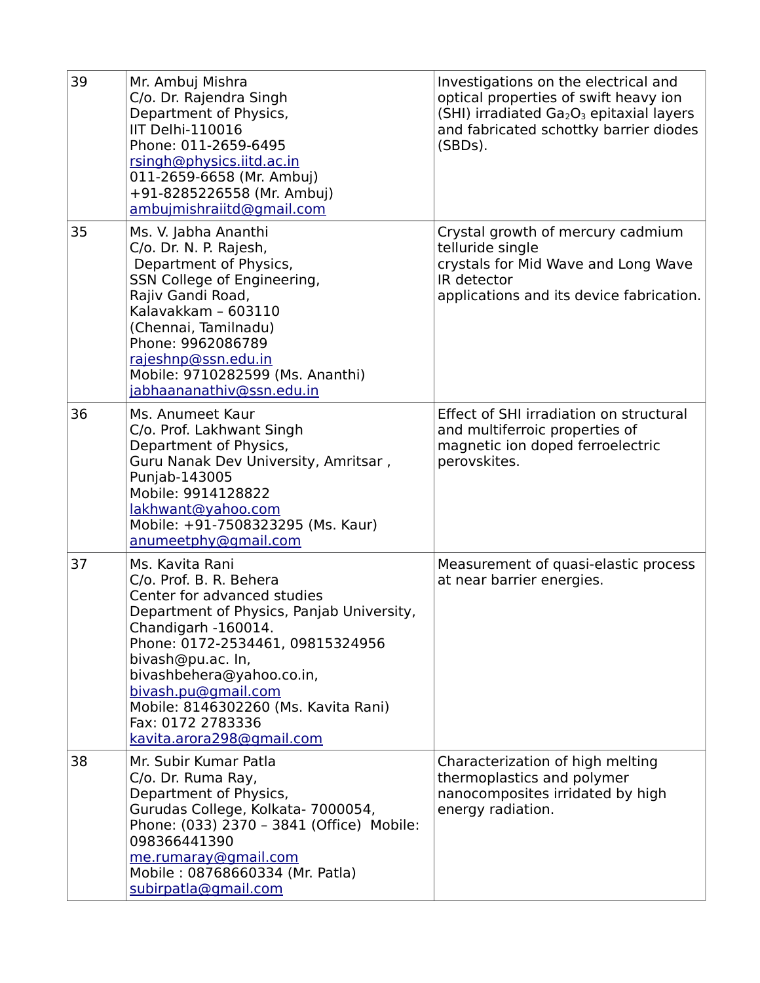| 39 | Mr. Ambuj Mishra<br>C/o. Dr. Rajendra Singh<br>Department of Physics,<br>IIT Delhi-110016<br>Phone: 011-2659-6495<br>rsingh@physics.iitd.ac.in<br>011-2659-6658 (Mr. Ambuj)<br>+91-8285226558 (Mr. Ambuj)<br>ambujmishraiitd@gmail.com                                                                                                               | Investigations on the electrical and<br>optical properties of swift heavy ion<br>(SHI) irradiated Ga <sub>2</sub> O <sub>3</sub> epitaxial layers<br>and fabricated schottky barrier diodes<br>(SBDs). |
|----|------------------------------------------------------------------------------------------------------------------------------------------------------------------------------------------------------------------------------------------------------------------------------------------------------------------------------------------------------|--------------------------------------------------------------------------------------------------------------------------------------------------------------------------------------------------------|
| 35 | Ms. V. Jabha Ananthi<br>C/o. Dr. N. P. Rajesh,<br>Department of Physics,<br>SSN College of Engineering,<br>Rajiv Gandi Road,<br>Kalavakkam - 603110<br>(Chennai, Tamilnadu)<br>Phone: 9962086789<br>rajeshnp@ssn.edu.in<br>Mobile: 9710282599 (Ms. Ananthi)<br>jabhaananathiv@ssn.edu.in                                                             | Crystal growth of mercury cadmium<br>telluride single<br>crystals for Mid Wave and Long Wave<br>IR detector<br>applications and its device fabrication.                                                |
| 36 | Ms. Anumeet Kaur<br>C/o. Prof. Lakhwant Singh<br>Department of Physics,<br>Guru Nanak Dev University, Amritsar,<br>Punjab-143005<br>Mobile: 9914128822<br>lakhwant@yahoo.com<br>Mobile: +91-7508323295 (Ms. Kaur)<br>anumeetphy@gmail.com                                                                                                            | Effect of SHI irradiation on structural<br>and multiferroic properties of<br>magnetic ion doped ferroelectric<br>perovskites.                                                                          |
| 37 | Ms. Kavita Rani<br>C/o. Prof. B. R. Behera<br>Center for advanced studies<br>Department of Physics, Panjab University,<br>Chandigarh -160014.<br>Phone: 0172-2534461, 09815324956<br>bivash@pu.ac. In,<br>bivashbehera@yahoo.co.in,<br>bivash.pu@gmail.com<br>Mobile: 8146302260 (Ms. Kavita Rani)<br>Fax: 0172 2783336<br>kavita.arora298@gmail.com | Measurement of quasi-elastic process<br>at near barrier energies.                                                                                                                                      |
| 38 | Mr. Subir Kumar Patla<br>C/o. Dr. Ruma Ray,<br>Department of Physics,<br>Gurudas College, Kolkata- 7000054,<br>Phone: (033) 2370 - 3841 (Office) Mobile:<br>098366441390<br>me.rumaray@gmail.com<br>Mobile: 08768660334 (Mr. Patla)<br>subirpatla@gmail.com                                                                                          | Characterization of high melting<br>thermoplastics and polymer<br>nanocomposites irridated by high<br>energy radiation.                                                                                |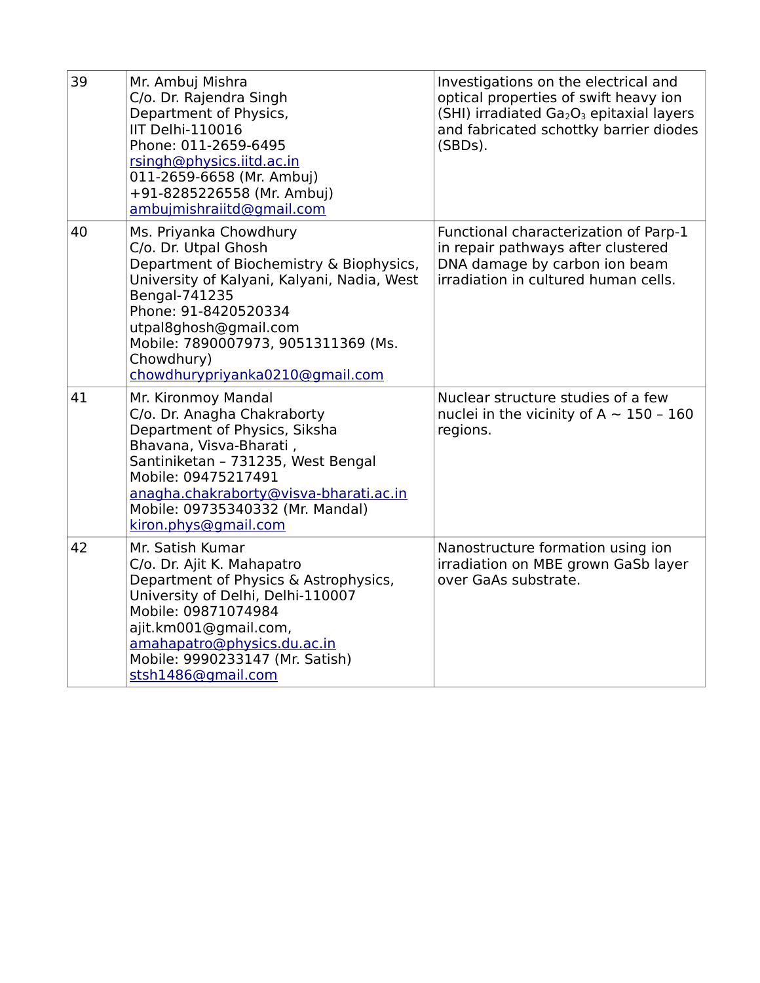| 39 | Mr. Ambuj Mishra<br>C/o. Dr. Rajendra Singh<br>Department of Physics,<br>IIT Delhi-110016<br>Phone: 011-2659-6495<br>rsingh@physics.iitd.ac.in<br>011-2659-6658 (Mr. Ambuj)<br>+91-8285226558 (Mr. Ambuj)<br>ambujmishraiitd@gmail.com                                                              | Investigations on the electrical and<br>optical properties of swift heavy ion<br>(SHI) irradiated Ga <sub>2</sub> O <sub>3</sub> epitaxial layers<br>and fabricated schottky barrier diodes<br>(SBDs). |
|----|-----------------------------------------------------------------------------------------------------------------------------------------------------------------------------------------------------------------------------------------------------------------------------------------------------|--------------------------------------------------------------------------------------------------------------------------------------------------------------------------------------------------------|
| 40 | Ms. Priyanka Chowdhury<br>C/o. Dr. Utpal Ghosh<br>Department of Biochemistry & Biophysics,<br>University of Kalyani, Kalyani, Nadia, West<br>Bengal-741235<br>Phone: 91-8420520334<br>utpal8ghosh@gmail.com<br>Mobile: 7890007973, 9051311369 (Ms.<br>Chowdhury)<br>chowdhurypriyanka0210@gmail.com | Functional characterization of Parp-1<br>in repair pathways after clustered<br>DNA damage by carbon ion beam<br>irradiation in cultured human cells.                                                   |
| 41 | Mr. Kironmoy Mandal<br>C/o. Dr. Anagha Chakraborty<br>Department of Physics, Siksha<br>Bhavana, Visva-Bharati,<br>Santiniketan - 731235, West Bengal<br>Mobile: 09475217491<br>anagha.chakraborty@visva-bharati.ac.in<br>Mobile: 09735340332 (Mr. Mandal)<br>kiron.phys@gmail.com                   | Nuclear structure studies of a few<br>nuclei in the vicinity of A $\sim$ 150 - 160<br>regions.                                                                                                         |
| 42 | Mr. Satish Kumar<br>C/o. Dr. Ajit K. Mahapatro<br>Department of Physics & Astrophysics,<br>University of Delhi, Delhi-110007<br>Mobile: 09871074984<br>ajit.km001@gmail.com,<br>amahapatro@physics.du.ac.in<br>Mobile: 9990233147 (Mr. Satish)<br>stsh1486@gmail.com                                | Nanostructure formation using ion<br>irradiation on MBE grown GaSb layer<br>over GaAs substrate.                                                                                                       |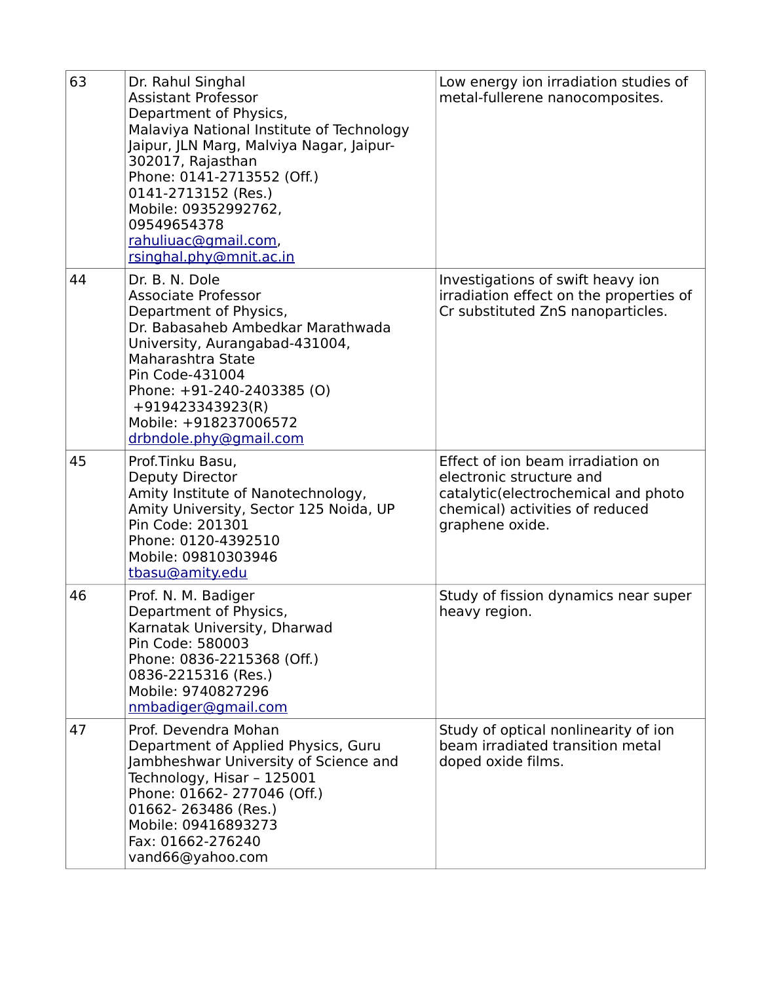| 63 | Dr. Rahul Singhal<br><b>Assistant Professor</b><br>Department of Physics,<br>Malaviya National Institute of Technology<br>Jaipur, JLN Marg, Malviya Nagar, Jaipur-<br>302017, Rajasthan<br>Phone: 0141-2713552 (Off.)<br>0141-2713152 (Res.)<br>Mobile: 09352992762,<br>09549654378<br>rahuliuac@gmail.com,<br>rsinghal.phy@mnit.ac.in | Low energy ion irradiation studies of<br>metal-fullerene nanocomposites.                                                                                   |
|----|----------------------------------------------------------------------------------------------------------------------------------------------------------------------------------------------------------------------------------------------------------------------------------------------------------------------------------------|------------------------------------------------------------------------------------------------------------------------------------------------------------|
| 44 | Dr. B. N. Dole<br><b>Associate Professor</b><br>Department of Physics,<br>Dr. Babasaheb Ambedkar Marathwada<br>University, Aurangabad-431004,<br>Maharashtra State<br>Pin Code-431004<br>Phone: +91-240-2403385 (O)<br>+919423343923(R)<br>Mobile: +918237006572<br>drbndole.phy@gmail.com                                             | Investigations of swift heavy ion<br>irradiation effect on the properties of<br>Cr substituted ZnS nanoparticles.                                          |
| 45 | Prof.Tinku Basu,<br>Deputy Director<br>Amity Institute of Nanotechnology,<br>Amity University, Sector 125 Noida, UP<br>Pin Code: 201301<br>Phone: 0120-4392510<br>Mobile: 09810303946<br>tbasu@amity.edu                                                                                                                               | Effect of ion beam irradiation on<br>electronic structure and<br>catalytic(electrochemical and photo<br>chemical) activities of reduced<br>graphene oxide. |
| 46 | Prof. N. M. Badiger<br>Department of Physics,<br>Karnatak University, Dharwad<br>Pin Code: 580003<br>Phone: 0836-2215368 (Off.)<br>0836-2215316 (Res.)<br>Mobile: 9740827296<br>nmbadiger@gmail.com                                                                                                                                    | Study of fission dynamics near super<br>heavy region.                                                                                                      |
| 47 | Prof. Devendra Mohan<br>Department of Applied Physics, Guru<br>Jambheshwar University of Science and<br>Technology, Hisar - 125001<br>Phone: 01662-277046 (Off.)<br>01662-263486 (Res.)<br>Mobile: 09416893273<br>Fax: 01662-276240<br>vand66@yahoo.com                                                                                | Study of optical nonlinearity of ion<br>beam irradiated transition metal<br>doped oxide films.                                                             |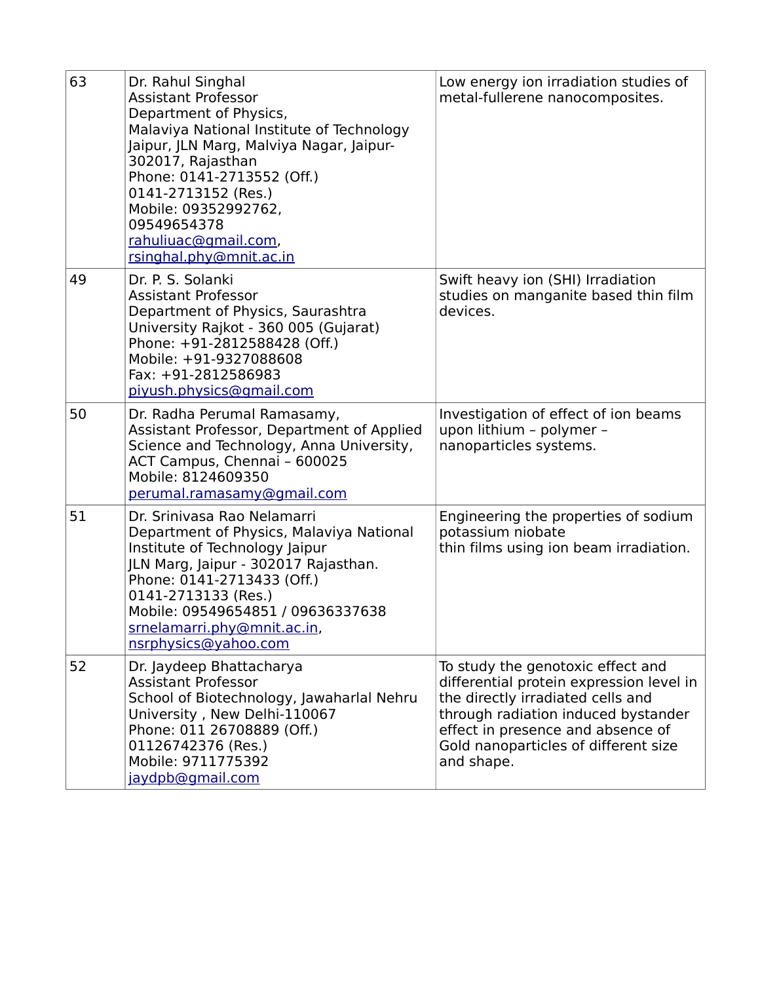| 63 | Dr. Rahul Singhal<br><b>Assistant Professor</b><br>Department of Physics,<br>Malaviya National Institute of Technology<br>Jaipur, JLN Marg, Malviya Nagar, Jaipur-<br>302017, Rajasthan<br>Phone: 0141-2713552 (Off.)<br>0141-2713152 (Res.)<br>Mobile: 09352992762,<br>09549654378<br>rahuliuac@gmail.com,<br>rsinghal.phy@mnit.ac.in | Low energy ion irradiation studies of<br>metal-fullerene nanocomposites.                                                                                                                                                                             |
|----|----------------------------------------------------------------------------------------------------------------------------------------------------------------------------------------------------------------------------------------------------------------------------------------------------------------------------------------|------------------------------------------------------------------------------------------------------------------------------------------------------------------------------------------------------------------------------------------------------|
| 49 | Dr. P. S. Solanki<br><b>Assistant Professor</b><br>Department of Physics, Saurashtra<br>University Rajkot - 360 005 (Gujarat)<br>Phone: +91-2812588428 (Off.)<br>Mobile: +91-9327088608<br>Fax: +91-2812586983<br>piyush.physics@gmail.com                                                                                             | Swift heavy ion (SHI) Irradiation<br>studies on manganite based thin film<br>devices.                                                                                                                                                                |
| 50 | Dr. Radha Perumal Ramasamy,<br>Assistant Professor, Department of Applied<br>Science and Technology, Anna University,<br>ACT Campus, Chennai - 600025<br>Mobile: 8124609350<br>perumal.ramasamy@gmail.com                                                                                                                              | Investigation of effect of ion beams<br>upon lithium - polymer -<br>nanoparticles systems.                                                                                                                                                           |
| 51 | Dr. Srinivasa Rao Nelamarri<br>Department of Physics, Malaviya National<br>Institute of Technology Jaipur<br>JLN Marg, Jaipur - 302017 Rajasthan.<br>Phone: 0141-2713433 (Off.)<br>0141-2713133 (Res.)<br>Mobile: 09549654851 / 09636337638<br><u>srnelamarri.phy@mnit.ac.in,</u><br>nsrphysics@yahoo.com                              | Engineering the properties of sodium<br>potassium niobate<br>thin films using ion beam irradiation.                                                                                                                                                  |
| 52 | Dr. Jaydeep Bhattacharya<br><b>Assistant Professor</b><br>School of Biotechnology, Jawaharlal Nehru<br>University, New Delhi-110067<br>Phone: 011 26708889 (Off.)<br>01126742376 (Res.)<br>Mobile: 9711775392<br>jaydpb@gmail.com                                                                                                      | To study the genotoxic effect and<br>differential protein expression level in<br>the directly irradiated cells and<br>through radiation induced bystander<br>effect in presence and absence of<br>Gold nanoparticles of different size<br>and shape. |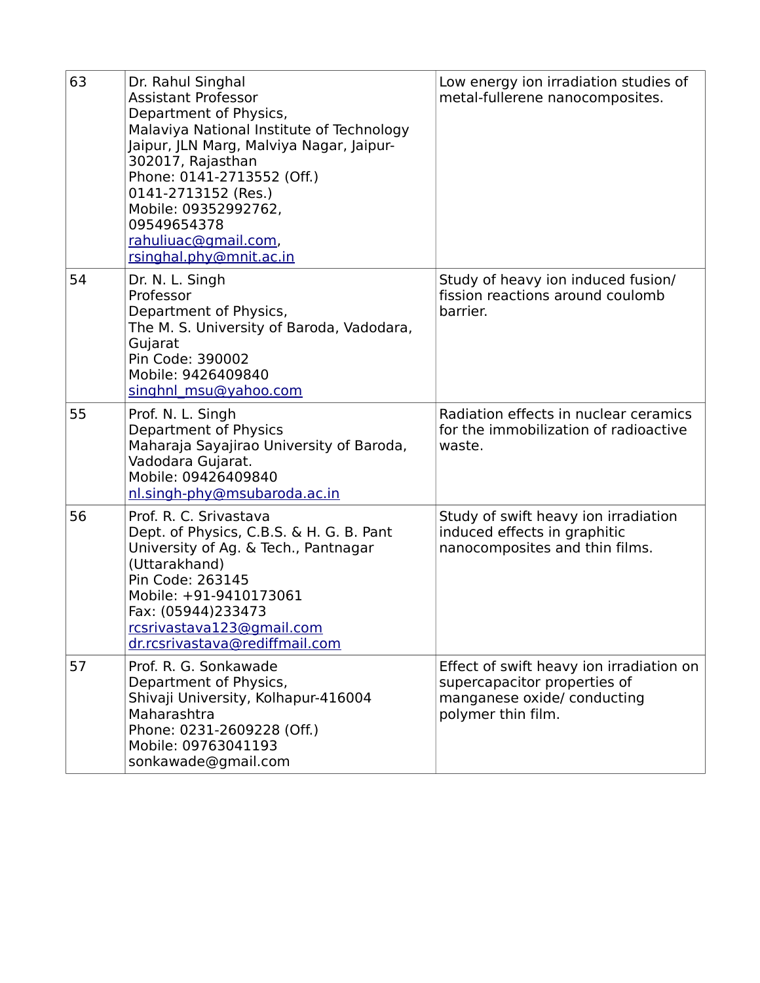| 63 | Dr. Rahul Singhal<br><b>Assistant Professor</b><br>Department of Physics,<br>Malaviya National Institute of Technology<br>Jaipur, JLN Marg, Malviya Nagar, Jaipur-<br>302017, Rajasthan<br>Phone: 0141-2713552 (Off.)<br>0141-2713152 (Res.)<br>Mobile: 09352992762,<br>09549654378<br>rahuliuac@gmail.com,<br>rsinghal.phy@mnit.ac.in | Low energy ion irradiation studies of<br>metal-fullerene nanocomposites.                                                      |
|----|----------------------------------------------------------------------------------------------------------------------------------------------------------------------------------------------------------------------------------------------------------------------------------------------------------------------------------------|-------------------------------------------------------------------------------------------------------------------------------|
| 54 | Dr. N. L. Singh<br>Professor<br>Department of Physics,<br>The M. S. University of Baroda, Vadodara,<br>Gujarat<br>Pin Code: 390002<br>Mobile: 9426409840<br>singhnl msu@yahoo.com                                                                                                                                                      | Study of heavy ion induced fusion/<br>fission reactions around coulomb<br>barrier.                                            |
| 55 | Prof. N. L. Singh<br>Department of Physics<br>Maharaja Sayajirao University of Baroda,<br>Vadodara Gujarat.<br>Mobile: 09426409840<br>nl.singh-phy@msubaroda.ac.in                                                                                                                                                                     | Radiation effects in nuclear ceramics<br>for the immobilization of radioactive<br>waste.                                      |
| 56 | Prof. R. C. Srivastava<br>Dept. of Physics, C.B.S. & H. G. B. Pant<br>University of Ag. & Tech., Pantnagar<br>(Uttarakhand)<br>Pin Code: 263145<br>Mobile: +91-9410173061<br>Fax: (05944)233473<br>rcsrivastava123@gmail.com<br>dr.rcsrivastava@rediffmail.com                                                                         | Study of swift heavy ion irradiation<br>induced effects in graphitic<br>nanocomposites and thin films.                        |
| 57 | Prof. R. G. Sonkawade<br>Department of Physics,<br>Shivaji University, Kolhapur-416004<br>Maharashtra<br>Phone: 0231-2609228 (Off.)<br>Mobile: 09763041193<br>sonkawade@gmail.com                                                                                                                                                      | Effect of swift heavy ion irradiation on<br>supercapacitor properties of<br>manganese oxide/ conducting<br>polymer thin film. |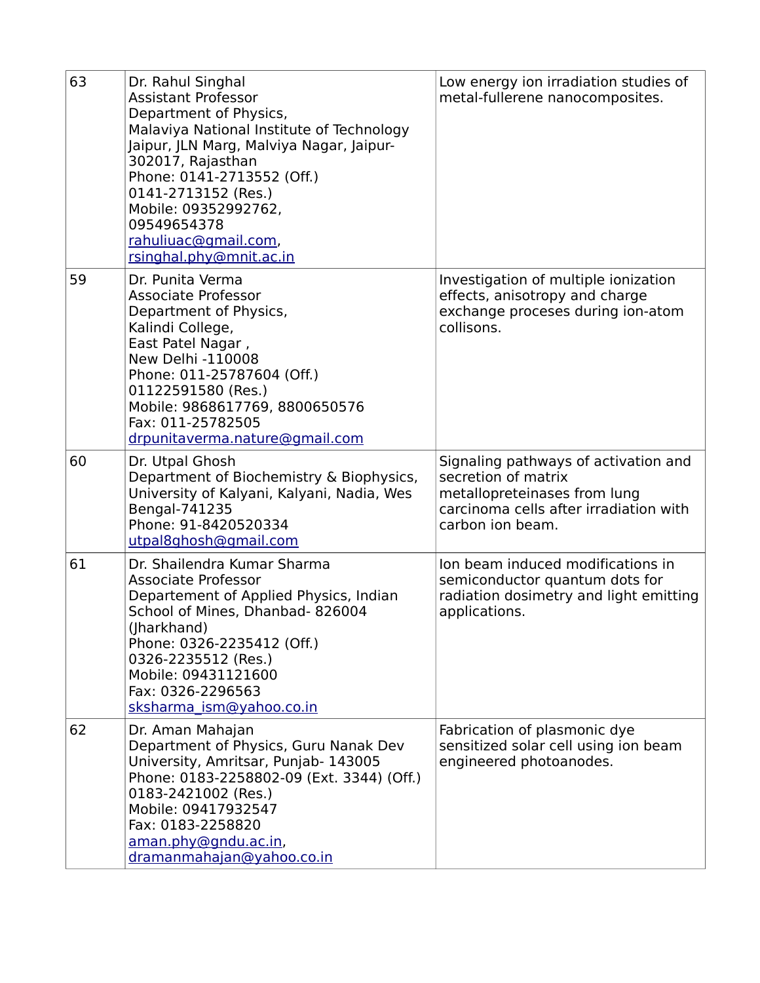| 63 | Dr. Rahul Singhal<br><b>Assistant Professor</b><br>Department of Physics,<br>Malaviya National Institute of Technology<br>Jaipur, JLN Marg, Malviya Nagar, Jaipur-<br>302017, Rajasthan<br>Phone: 0141-2713552 (Off.)<br>0141-2713152 (Res.)<br>Mobile: 09352992762,<br>09549654378<br>rahuliuac@gmail.com,<br>rsinghal.phy@mnit.ac.in | Low energy ion irradiation studies of<br>metal-fullerene nanocomposites.                                                                                  |
|----|----------------------------------------------------------------------------------------------------------------------------------------------------------------------------------------------------------------------------------------------------------------------------------------------------------------------------------------|-----------------------------------------------------------------------------------------------------------------------------------------------------------|
| 59 | Dr. Punita Verma<br><b>Associate Professor</b><br>Department of Physics,<br>Kalindi College,<br>East Patel Nagar,<br>New Delhi -110008<br>Phone: 011-25787604 (Off.)<br>01122591580 (Res.)<br>Mobile: 9868617769, 8800650576<br>Fax: 011-25782505<br>drpunitaverma.nature@gmail.com                                                    | Investigation of multiple ionization<br>effects, anisotropy and charge<br>exchange proceses during ion-atom<br>collisons.                                 |
| 60 | Dr. Utpal Ghosh<br>Department of Biochemistry & Biophysics,<br>University of Kalyani, Kalyani, Nadia, Wes<br>Bengal-741235<br>Phone: 91-8420520334<br>utpal8ghosh@gmail.com                                                                                                                                                            | Signaling pathways of activation and<br>secretion of matrix<br>metallopreteinases from lung<br>carcinoma cells after irradiation with<br>carbon ion beam. |
| 61 | Dr. Shailendra Kumar Sharma<br><b>Associate Professor</b><br>Departement of Applied Physics, Indian<br>School of Mines, Dhanbad-826004<br>(Jharkhand)<br>Phone: 0326-2235412 (Off.)<br>0326-2235512 (Res.)<br>Mobile: 09431121600<br>Fax: 0326-2296563<br>sksharma ism@yahoo.co.in                                                     | Ion beam induced modifications in<br>semiconductor quantum dots for<br>radiation dosimetry and light emitting<br>applications.                            |
| 62 | Dr. Aman Mahajan<br>Department of Physics, Guru Nanak Dev<br>University, Amritsar, Punjab- 143005<br>Phone: 0183-2258802-09 (Ext. 3344) (Off.)<br>0183-2421002 (Res.)<br>Mobile: 09417932547<br>Fax: 0183-2258820<br>aman.phy@gndu.ac.in,<br>dramanmahajan@yahoo.co.in                                                                 | Fabrication of plasmonic dye<br>sensitized solar cell using ion beam<br>engineered photoanodes.                                                           |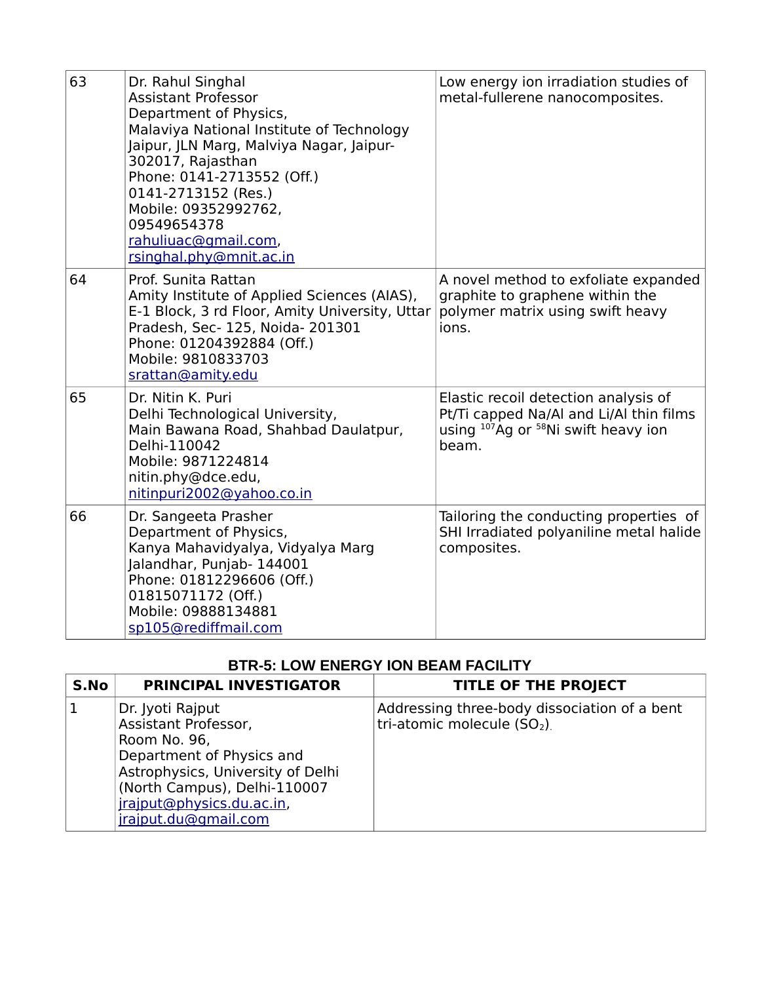| 63 | Dr. Rahul Singhal<br><b>Assistant Professor</b><br>Department of Physics,<br>Malaviya National Institute of Technology<br>Jaipur, JLN Marg, Malviya Nagar, Jaipur-<br>302017, Rajasthan<br>Phone: 0141-2713552 (Off.)<br>0141-2713152 (Res.)<br>Mobile: 09352992762,<br>09549654378<br>rahuliuac@gmail.com,<br>rsinghal.phy@mnit.ac.in | Low energy ion irradiation studies of<br>metal-fullerene nanocomposites.                                                              |
|----|----------------------------------------------------------------------------------------------------------------------------------------------------------------------------------------------------------------------------------------------------------------------------------------------------------------------------------------|---------------------------------------------------------------------------------------------------------------------------------------|
| 64 | Prof. Sunita Rattan<br>Amity Institute of Applied Sciences (AIAS),<br>E-1 Block, 3 rd Floor, Amity University, Uttar<br>Pradesh, Sec- 125, Noida- 201301<br>Phone: 01204392884 (Off.)<br>Mobile: 9810833703<br>srattan@amity.edu                                                                                                       | A novel method to exfoliate expanded<br>graphite to graphene within the<br>polymer matrix using swift heavy<br>ions.                  |
| 65 | Dr. Nitin K. Puri<br>Delhi Technological University,<br>Main Bawana Road, Shahbad Daulatpur,<br>Delhi-110042<br>Mobile: 9871224814<br>nitin.phy@dce.edu,<br>nitinpuri2002@yahoo.co.in                                                                                                                                                  | Elastic recoil detection analysis of<br>Pt/Ti capped Na/AI and Li/AI thin films<br>using $107$ Ag or $58$ Ni swift heavy ion<br>beam. |
| 66 | Dr. Sangeeta Prasher<br>Department of Physics,<br>Kanya Mahavidyalya, Vidyalya Marg<br>Jalandhar, Punjab- 144001<br>Phone: 01812296606 (Off.)<br>01815071172 (Off.)<br>Mobile: 09888134881<br>sp105@rediffmail.com                                                                                                                     | Tailoring the conducting properties of<br>SHI Irradiated polyaniline metal halide<br>composites.                                      |

## **BTR-5: LOW ENERGY ION BEAM FACILITY**

| S.No | <b>PRINCIPAL INVESTIGATOR</b>                                                                                                                                                                                   | <b>TITLE OF THE PROJECT</b>                                                 |
|------|-----------------------------------------------------------------------------------------------------------------------------------------------------------------------------------------------------------------|-----------------------------------------------------------------------------|
|      | Dr. Jyoti Rajput<br>Assistant Professor,<br>Room No. 96,<br>Department of Physics and<br>Astrophysics, University of Delhi<br>(North Campus), Delhi-110007<br>jrajput@physics.du.ac.in,<br>jrajput.du@gmail.com | Addressing three-body dissociation of a bent<br>tri-atomic molecule $(SO2)$ |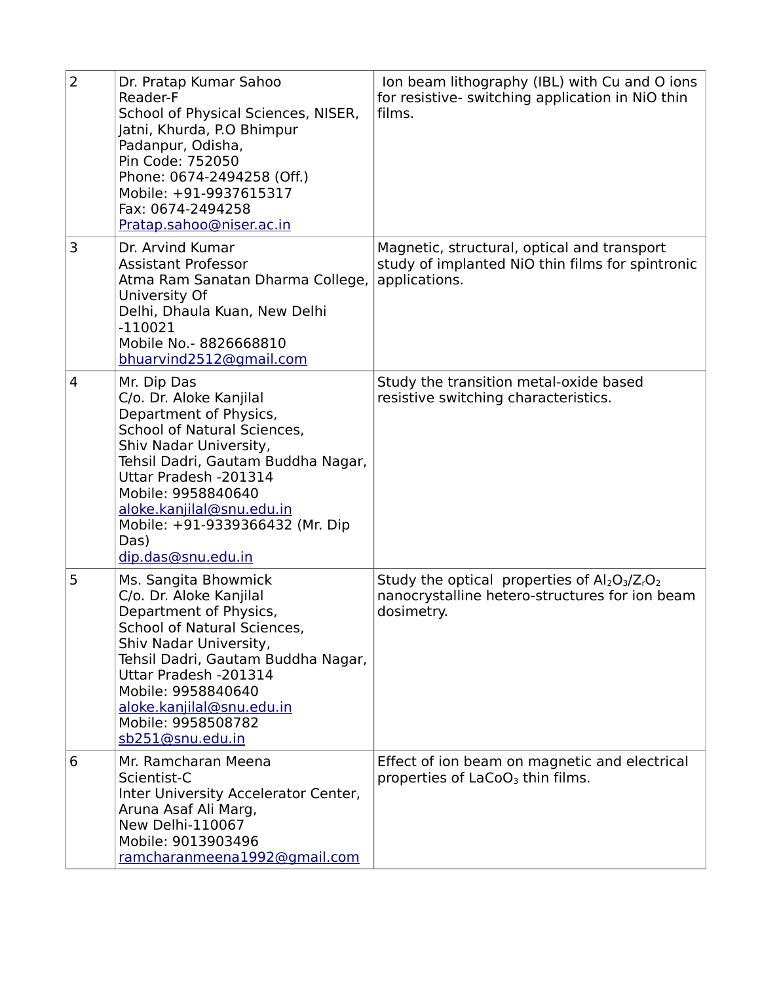| $\overline{2}$ | Dr. Pratap Kumar Sahoo<br>Reader-F<br>School of Physical Sciences, NISER,<br>Jatni, Khurda, P.O Bhimpur<br>Padanpur, Odisha,<br>Pin Code: 752050<br>Phone: 0674-2494258 (Off.)<br>Mobile: +91-9937615317<br>Fax: 0674-2494258<br>Pratap.sahoo@niser.ac.in                                                     | Ion beam lithography (IBL) with Cu and O ions<br>for resistive- switching application in NiO thin<br>films.      |
|----------------|---------------------------------------------------------------------------------------------------------------------------------------------------------------------------------------------------------------------------------------------------------------------------------------------------------------|------------------------------------------------------------------------------------------------------------------|
| 3              | Dr. Arvind Kumar<br><b>Assistant Professor</b><br>Atma Ram Sanatan Dharma College,<br>University Of<br>Delhi, Dhaula Kuan, New Delhi<br>$-110021$<br>Mobile No.- 8826668810<br>bhuarvind2512@gmail.com                                                                                                        | Magnetic, structural, optical and transport<br>study of implanted NiO thin films for spintronic<br>applications. |
| $\overline{4}$ | Mr. Dip Das<br>C/o. Dr. Aloke Kanjilal<br>Department of Physics,<br>School of Natural Sciences,<br>Shiv Nadar University,<br>Tehsil Dadri, Gautam Buddha Nagar,<br>Uttar Pradesh - 201314<br>Mobile: 9958840640<br>aloke.kanjilal@snu.edu.in<br>Mobile: +91-9339366432 (Mr. Dip<br>Das)<br>dip.das@snu.edu.in | Study the transition metal-oxide based<br>resistive switching characteristics.                                   |
| 5              | Ms. Sangita Bhowmick<br>C/o. Dr. Aloke Kanjilal<br>Department of Physics,<br>School of Natural Sciences,<br>Shiv Nadar University,<br>Tehsil Dadri, Gautam Buddha Nagar,<br>Uttar Pradesh - 201314<br>Mobile: 9958840640<br>aloke.kanjilal@snu.edu.in<br>Mobile: 9958508782<br>sb251@snu.edu.in               | Study the optical properties of $Al_2O_3/Z_rO_2$<br>nanocrystalline hetero-structures for ion beam<br>dosimetry. |
| 6              | Mr. Ramcharan Meena<br>Scientist-C<br>Inter University Accelerator Center,<br>Aruna Asaf Ali Marg,<br><b>New Delhi-110067</b><br>Mobile: 9013903496<br>ramcharanmeena1992@gmail.com                                                                                                                           | Effect of ion beam on magnetic and electrical<br>properties of LaCoO <sub>3</sub> thin films.                    |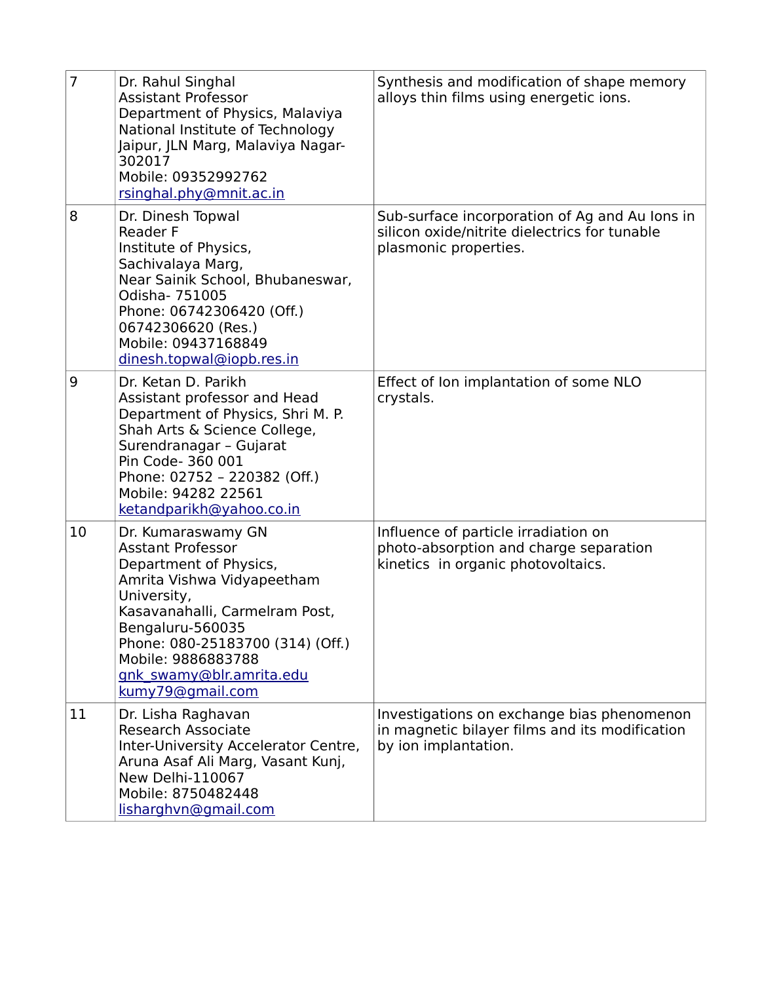| 7  | Dr. Rahul Singhal<br><b>Assistant Professor</b><br>Department of Physics, Malaviya<br>National Institute of Technology<br>Jaipur, JLN Marg, Malaviya Nagar-<br>302017<br>Mobile: 09352992762<br>rsinghal.phy@mnit.ac.in                                                               | Synthesis and modification of shape memory<br>alloys thin films using energetic ions.                                    |
|----|---------------------------------------------------------------------------------------------------------------------------------------------------------------------------------------------------------------------------------------------------------------------------------------|--------------------------------------------------------------------------------------------------------------------------|
| 8  | Dr. Dinesh Topwal<br><b>Reader F</b><br>Institute of Physics,<br>Sachivalaya Marg,<br>Near Sainik School, Bhubaneswar,<br>Odisha- 751005<br>Phone: 06742306420 (Off.)<br>06742306620 (Res.)<br>Mobile: 09437168849<br>dinesh.topwal@iopb.res.in                                       | Sub-surface incorporation of Ag and Au Ions in<br>silicon oxide/nitrite dielectrics for tunable<br>plasmonic properties. |
| 9  | Dr. Ketan D. Parikh<br>Assistant professor and Head<br>Department of Physics, Shri M. P.<br>Shah Arts & Science College,<br>Surendranagar - Gujarat<br>Pin Code- 360 001<br>Phone: 02752 - 220382 (Off.)<br>Mobile: 94282 22561<br>ketandparikh@yahoo.co.in                           | Effect of Ion implantation of some NLO<br>crystals.                                                                      |
| 10 | Dr. Kumaraswamy GN<br><b>Asstant Professor</b><br>Department of Physics,<br>Amrita Vishwa Vidyapeetham<br>University,<br>Kasavanahalli, Carmelram Post,<br>Bengaluru-560035<br>Phone: 080-25183700 (314) (Off.)<br>Mobile: 9886883788<br>gnk swamy@blr.amrita.edu<br>kumy79@gmail.com | Influence of particle irradiation on<br>photo-absorption and charge separation<br>kinetics in organic photovoltaics.     |
| 11 | Dr. Lisha Raghavan<br><b>Research Associate</b><br>Inter-University Accelerator Centre,<br>Aruna Asaf Ali Marg, Vasant Kunj,<br>New Delhi-110067<br>Mobile: 8750482448<br>lisharghvn@gmail.com                                                                                        | Investigations on exchange bias phenomenon<br>in magnetic bilayer films and its modification<br>by ion implantation.     |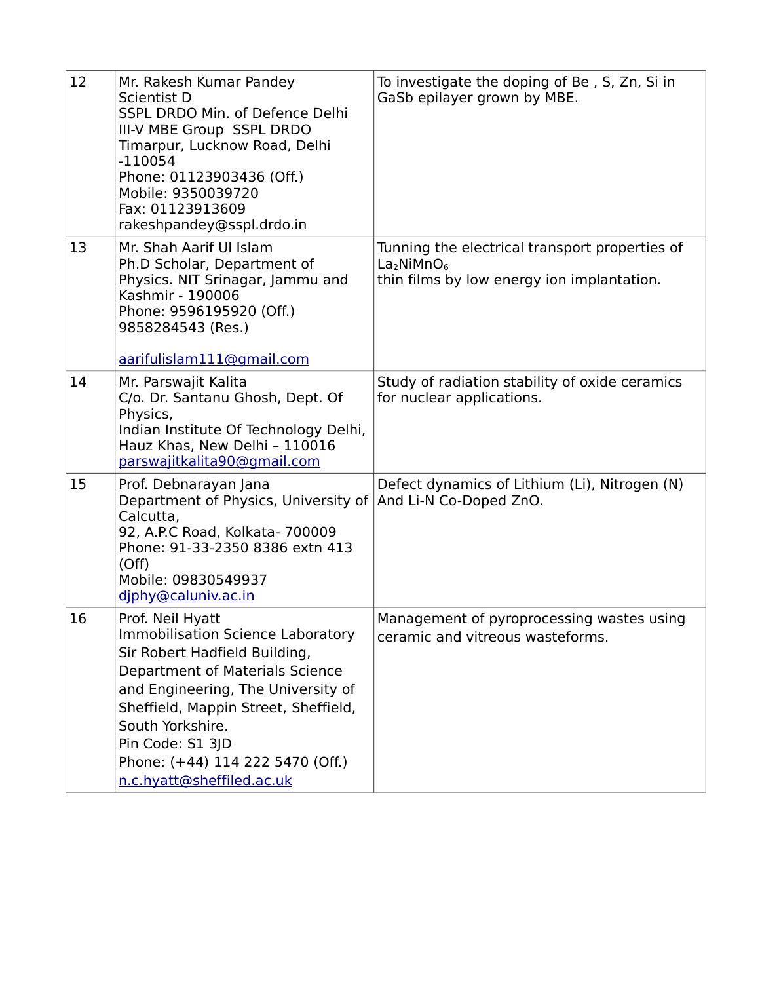| 12 | Mr. Rakesh Kumar Pandey<br>Scientist D<br>SSPL DRDO Min. of Defence Delhi<br>III-V MBE Group SSPL DRDO<br>Timarpur, Lucknow Road, Delhi<br>$-110054$<br>Phone: 01123903436 (Off.)<br>Mobile: 9350039720<br>Fax: 01123913609<br>rakeshpandey@sspl.drdo.in                                                                       | To investigate the doping of Be, S, Zn, Si in<br>GaSb epilayer grown by MBE.                                                       |
|----|--------------------------------------------------------------------------------------------------------------------------------------------------------------------------------------------------------------------------------------------------------------------------------------------------------------------------------|------------------------------------------------------------------------------------------------------------------------------------|
| 13 | Mr. Shah Aarif Ul Islam<br>Ph.D Scholar, Department of<br>Physics. NIT Srinagar, Jammu and<br>Kashmir - 190006<br>Phone: 9596195920 (Off.)<br>9858284543 (Res.)<br>aarifulislam111@gmail.com                                                                                                                                   | Tunning the electrical transport properties of<br>La <sub>2</sub> NiMnO <sub>6</sub><br>thin films by low energy ion implantation. |
| 14 | Mr. Parswajit Kalita<br>C/o. Dr. Santanu Ghosh, Dept. Of<br>Physics,<br>Indian Institute Of Technology Delhi,<br>Hauz Khas, New Delhi - 110016<br>parswajitkalita90@gmail.com                                                                                                                                                  | Study of radiation stability of oxide ceramics<br>for nuclear applications.                                                        |
| 15 | Prof. Debnarayan Jana<br>Department of Physics, University of And Li-N Co-Doped ZnO.<br>Calcutta,<br>92, A.P.C Road, Kolkata- 700009<br>Phone: 91-33-2350 8386 extn 413<br>(Off)<br>Mobile: 09830549937<br>diphy@caluniv.ac.in                                                                                                 | Defect dynamics of Lithium (Li), Nitrogen (N)                                                                                      |
| 16 | Prof. Neil Hyatt<br><b>Immobilisation Science Laboratory</b><br>Sir Robert Hadfield Building,<br><b>Department of Materials Science</b><br>and Engineering, The University of<br>Sheffield, Mappin Street, Sheffield,<br>South Yorkshire.<br>Pin Code: S1 3JD<br>Phone: (+44) 114 222 5470 (Off.)<br>n.c.hyatt@sheffiled.ac.uk | Management of pyroprocessing wastes using<br>ceramic and vitreous wasteforms.                                                      |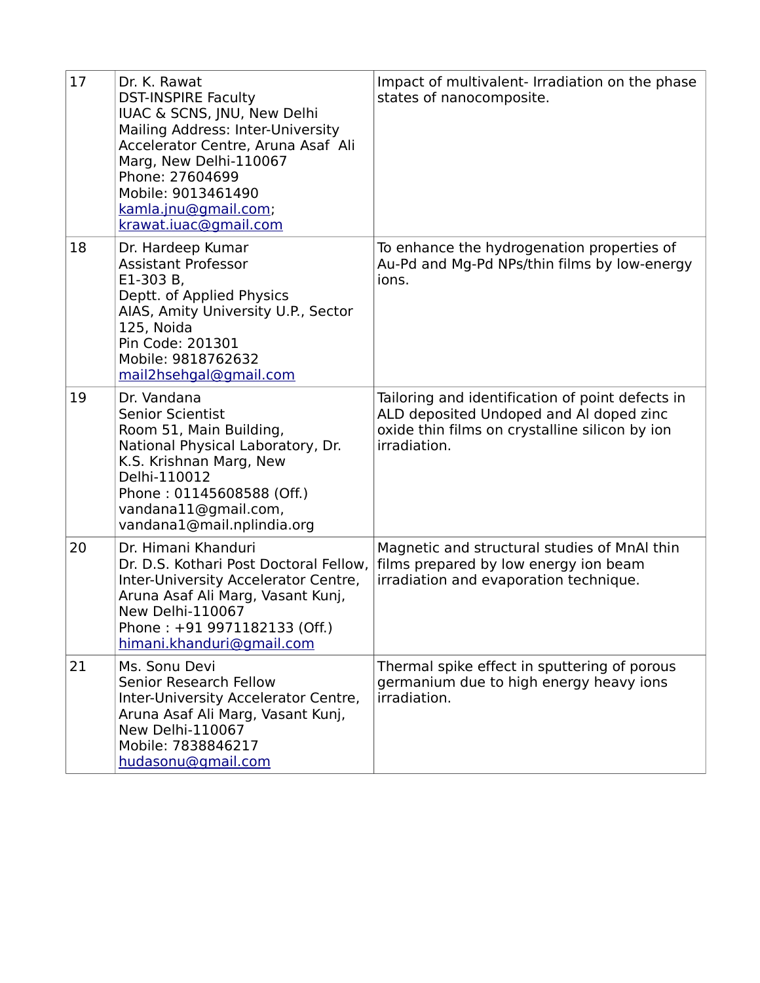| 17 | Dr. K. Rawat<br><b>DST-INSPIRE Faculty</b><br>IUAC & SCNS, JNU, New Delhi<br>Mailing Address: Inter-University<br>Accelerator Centre, Aruna Asaf Ali<br>Marg, New Delhi-110067<br>Phone: 27604699<br>Mobile: 9013461490<br>kamla.jnu@gmail.com;<br>krawat.iuac@gmail.com | Impact of multivalent- Irradiation on the phase<br>states of nanocomposite.                                                                                   |
|----|--------------------------------------------------------------------------------------------------------------------------------------------------------------------------------------------------------------------------------------------------------------------------|---------------------------------------------------------------------------------------------------------------------------------------------------------------|
| 18 | Dr. Hardeep Kumar<br><b>Assistant Professor</b><br>E1-303 B,<br>Deptt. of Applied Physics<br>AIAS, Amity University U.P., Sector<br>125, Noida<br>Pin Code: 201301<br>Mobile: 9818762632<br>mail2hsehgal@gmail.com                                                       | To enhance the hydrogenation properties of<br>Au-Pd and Mg-Pd NPs/thin films by low-energy<br>ions.                                                           |
| 19 | Dr. Vandana<br><b>Senior Scientist</b><br>Room 51, Main Building,<br>National Physical Laboratory, Dr.<br>K.S. Krishnan Marg, New<br>Delhi-110012<br>Phone: 01145608588 (Off.)<br>vandana11@gmail.com,<br>vandana1@mail.nplindia.org                                     | Tailoring and identification of point defects in<br>ALD deposited Undoped and Al doped zinc<br>oxide thin films on crystalline silicon by ion<br>irradiation. |
| 20 | Dr. Himani Khanduri<br>Dr. D.S. Kothari Post Doctoral Fellow,<br>Inter-University Accelerator Centre,<br>Aruna Asaf Ali Marg, Vasant Kunj,<br><b>New Delhi-110067</b><br>Phone: +91 9971182133 (Off.)<br>himani.khanduri@gmail.com                                       | Magnetic and structural studies of MnAI thin<br>films prepared by low energy ion beam<br>irradiation and evaporation technique.                               |
| 21 | Ms. Sonu Devi<br>Senior Research Fellow<br>Inter-University Accelerator Centre,<br>Aruna Asaf Ali Marg, Vasant Kunj,<br><b>New Delhi-110067</b><br>Mobile: 7838846217<br>hudasonu@gmail.com                                                                              | Thermal spike effect in sputtering of porous<br>germanium due to high energy heavy ions<br>irradiation.                                                       |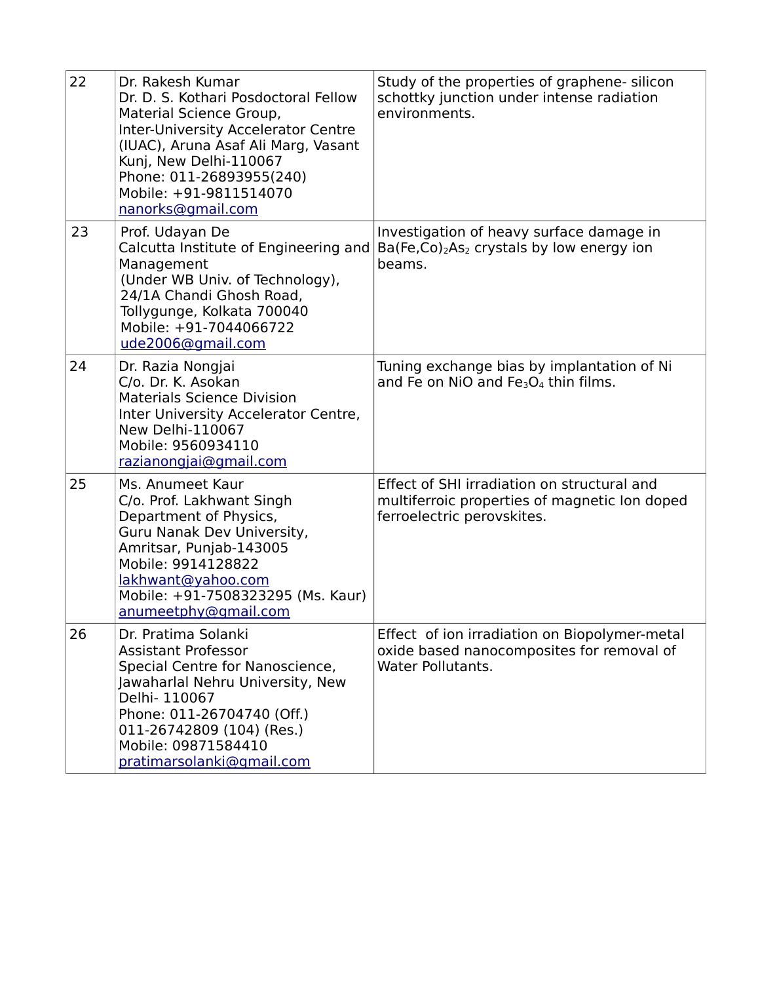| 22 | Dr. Rakesh Kumar<br>Dr. D. S. Kothari Posdoctoral Fellow<br>Material Science Group,<br><b>Inter-University Accelerator Centre</b><br>(IUAC), Aruna Asaf Ali Marg, Vasant<br>Kunj, New Delhi-110067<br>Phone: 011-26893955(240)<br>Mobile: +91-9811514070<br>nanorks@gmail.com | Study of the properties of graphene- silicon<br>schottky junction under intense radiation<br>environments.                 |
|----|-------------------------------------------------------------------------------------------------------------------------------------------------------------------------------------------------------------------------------------------------------------------------------|----------------------------------------------------------------------------------------------------------------------------|
| 23 | Prof. Udayan De<br>Calcutta Institute of Engineering and<br>Management<br>(Under WB Univ. of Technology),<br>24/1A Chandi Ghosh Road,<br>Tollygunge, Kolkata 700040<br>Mobile: +91-7044066722<br>ude2006@gmail.com                                                            | Investigation of heavy surface damage in<br>$Ba(Fe, Co)2As2 crystals by low energy ion$<br>beams.                          |
| 24 | Dr. Razia Nongjai<br>C/o. Dr. K. Asokan<br><b>Materials Science Division</b><br>Inter University Accelerator Centre,<br>New Delhi-110067<br>Mobile: 9560934110<br>razianongjaj@gmail.com                                                                                      | Tuning exchange bias by implantation of Ni<br>and Fe on NiO and $Fe3O4$ thin films.                                        |
| 25 | Ms. Anumeet Kaur<br>C/o. Prof. Lakhwant Singh<br>Department of Physics,<br>Guru Nanak Dev University,<br>Amritsar, Punjab-143005<br>Mobile: 9914128822<br>lakhwant@yahoo.com<br>Mobile: +91-7508323295 (Ms. Kaur)<br>anumeetphy@gmail.com                                     | Effect of SHI irradiation on structural and<br>multiferroic properties of magnetic Ion doped<br>ferroelectric perovskites. |
| 26 | Dr. Pratima Solanki<br><b>Assistant Professor</b><br>Special Centre for Nanoscience,<br>Jawaharlal Nehru University, New<br>Delhi- 110067<br>Phone: 011-26704740 (Off.)<br>011-26742809 (104) (Res.)<br>Mobile: 09871584410<br>pratimarsolanki@gmail.com                      | Effect of ion irradiation on Biopolymer-metal<br>oxide based nanocomposites for removal of<br><b>Water Pollutants.</b>     |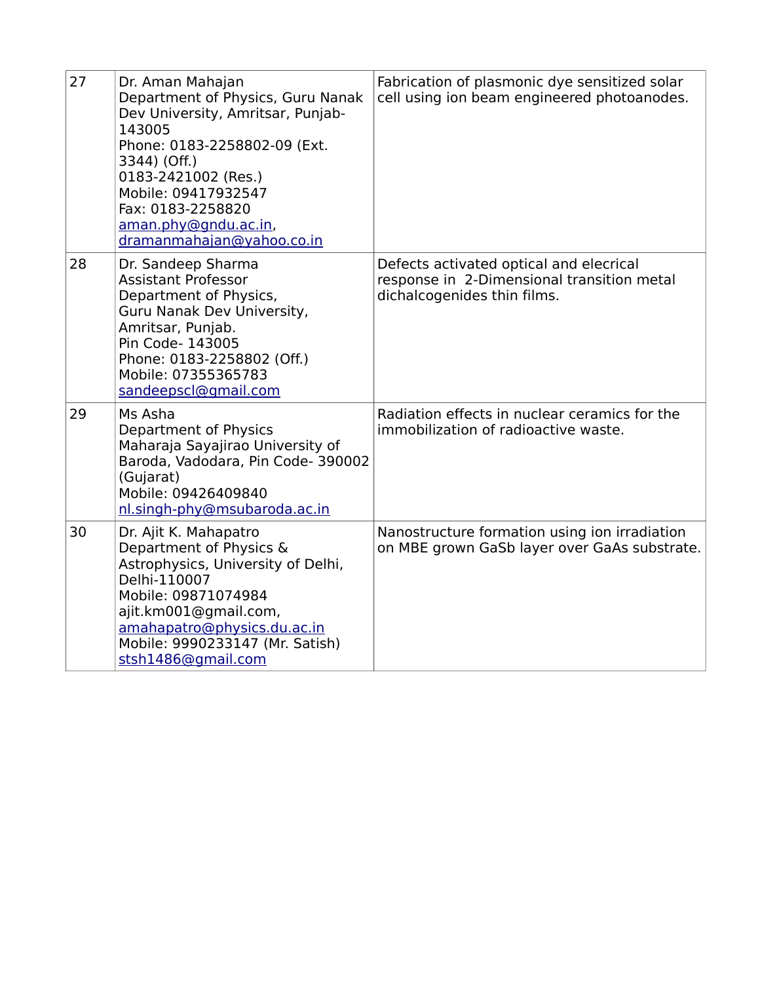| 27 | Dr. Aman Mahajan<br>Department of Physics, Guru Nanak<br>Dev University, Amritsar, Punjab-<br>143005<br>Phone: 0183-2258802-09 (Ext.<br>3344) (Off.)<br>0183-2421002 (Res.)<br>Mobile: 09417932547<br>Fax: 0183-2258820<br>aman.phy@gndu.ac.in,<br>dramanmahajan@yahoo.co.in | Fabrication of plasmonic dye sensitized solar<br>cell using ion beam engineered photoanodes.                         |
|----|------------------------------------------------------------------------------------------------------------------------------------------------------------------------------------------------------------------------------------------------------------------------------|----------------------------------------------------------------------------------------------------------------------|
| 28 | Dr. Sandeep Sharma<br><b>Assistant Professor</b><br>Department of Physics,<br>Guru Nanak Dev University,<br>Amritsar, Punjab.<br>Pin Code- 143005<br>Phone: 0183-2258802 (Off.)<br>Mobile: 07355365783<br>sandeepscl@gmail.com                                               | Defects activated optical and elecrical<br>response in 2-Dimensional transition metal<br>dichalcogenides thin films. |
| 29 | Ms Asha<br>Department of Physics<br>Maharaja Sayajirao University of<br>Baroda, Vadodara, Pin Code- 390002<br>(Gujarat)<br>Mobile: 09426409840<br>nl.singh-phy@msubaroda.ac.in                                                                                               | Radiation effects in nuclear ceramics for the<br>immobilization of radioactive waste.                                |
| 30 | Dr. Ajit K. Mahapatro<br>Department of Physics &<br>Astrophysics, University of Delhi,<br>Delhi-110007<br>Mobile: 09871074984<br>ajit.km001@gmail.com,<br>amahapatro@physics.du.ac.in<br>Mobile: 9990233147 (Mr. Satish)<br>stsh1486@gmail.com                               | Nanostructure formation using ion irradiation<br>on MBE grown GaSb layer over GaAs substrate.                        |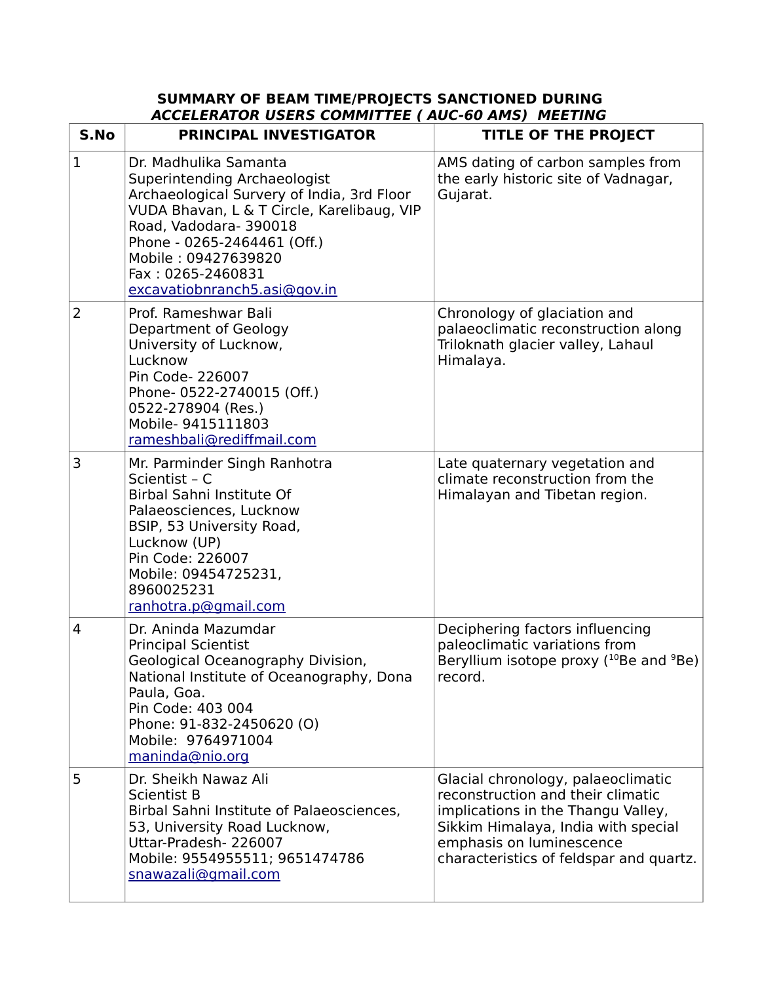## **SUMMARY OF BEAM TIME/PROJECTS SANCTIONED DURING ACCELERATOR USERS COMMITTEE ( AUC-60 AMS) MEETING**

| S.No           | <b>PRINCIPAL INVESTIGATOR</b>                                                                                                                                                                                                                                                         | <b>TITLE OF THE PROJECT</b>                                                                                                                                                                                                 |
|----------------|---------------------------------------------------------------------------------------------------------------------------------------------------------------------------------------------------------------------------------------------------------------------------------------|-----------------------------------------------------------------------------------------------------------------------------------------------------------------------------------------------------------------------------|
| $\mathbf{1}$   | Dr. Madhulika Samanta<br>Superintending Archaeologist<br>Archaeological Survery of India, 3rd Floor<br>VUDA Bhavan, L & T Circle, Karelibaug, VIP<br>Road, Vadodara-390018<br>Phone - 0265-2464461 (Off.)<br>Mobile: 09427639820<br>Fax: 0265-2460831<br>excavatiobnranch5.asi@gov.in | AMS dating of carbon samples from<br>the early historic site of Vadnagar,<br>Gujarat.                                                                                                                                       |
| $\overline{2}$ | Prof. Rameshwar Bali<br>Department of Geology<br>University of Lucknow,<br>Lucknow<br>Pin Code- 226007<br>Phone-0522-2740015 (Off.)<br>0522-278904 (Res.)<br>Mobile- 9415111803<br>rameshbali@rediffmail.com                                                                          | Chronology of glaciation and<br>palaeoclimatic reconstruction along<br>Triloknath glacier valley, Lahaul<br>Himalaya.                                                                                                       |
| 3              | Mr. Parminder Singh Ranhotra<br>Scientist - C<br>Birbal Sahni Institute Of<br>Palaeosciences, Lucknow<br>BSIP, 53 University Road,<br>Lucknow (UP)<br>Pin Code: 226007<br>Mobile: 09454725231,<br>8960025231<br>ranhotra.p@gmail.com                                                  | Late quaternary vegetation and<br>climate reconstruction from the<br>Himalayan and Tibetan region.                                                                                                                          |
| $\overline{4}$ | Dr. Aninda Mazumdar<br><b>Principal Scientist</b><br>Geological Oceanography Division,<br>National Institute of Oceanography, Dona<br>Paula, Goa.<br>Pin Code: 403 004<br>Phone: 91-832-2450620 (O)<br>Mobile: 9764971004<br>maninda@nio.org                                          | Deciphering factors influencing<br>paleoclimatic variations from<br>Beryllium isotope proxy $(^{10}Be$ and $^9Be$ )<br>record.                                                                                              |
| 5              | Dr. Sheikh Nawaz Ali<br><b>Scientist B</b><br>Birbal Sahni Institute of Palaeosciences,<br>53, University Road Lucknow,<br>Uttar-Pradesh-226007<br>Mobile: 9554955511; 9651474786<br>snawazali@gmail.com                                                                              | Glacial chronology, palaeoclimatic<br>reconstruction and their climatic<br>implications in the Thangu Valley,<br>Sikkim Himalaya, India with special<br>emphasis on luminescence<br>characteristics of feldspar and quartz. |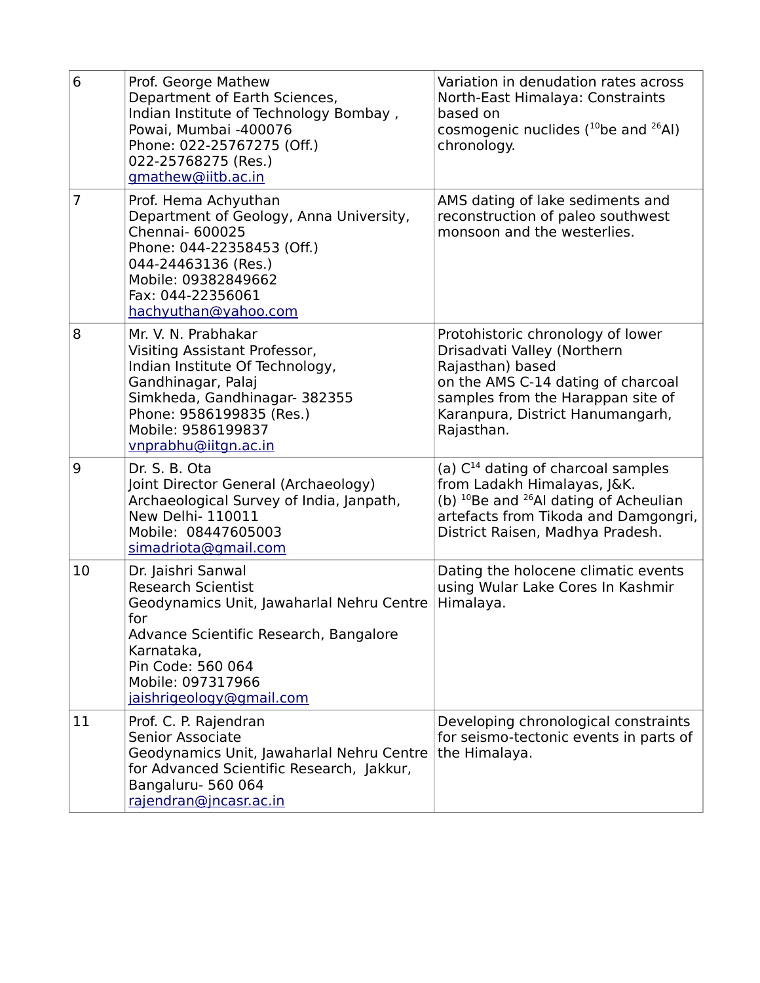| 6  | Prof. George Mathew<br>Department of Earth Sciences,<br>Indian Institute of Technology Bombay,<br>Powai, Mumbai -400076<br>Phone: 022-25767275 (Off.)<br>022-25768275 (Res.)<br>gmathew@iitb.ac.in                                | Variation in denudation rates across<br>North-East Himalaya: Constraints<br>based on<br>cosmogenic nuclides $(^{10}$ be and $^{26}$ Al)<br>chronology.                                                              |
|----|-----------------------------------------------------------------------------------------------------------------------------------------------------------------------------------------------------------------------------------|---------------------------------------------------------------------------------------------------------------------------------------------------------------------------------------------------------------------|
| 7  | Prof. Hema Achyuthan<br>Department of Geology, Anna University,<br>Chennai- 600025<br>Phone: 044-22358453 (Off.)<br>044-24463136 (Res.)<br>Mobile: 09382849662<br>Fax: 044-22356061<br>hachyuthan@yahoo.com                       | AMS dating of lake sediments and<br>reconstruction of paleo southwest<br>monsoon and the westerlies.                                                                                                                |
| 8  | Mr. V. N. Prabhakar<br>Visiting Assistant Professor,<br>Indian Institute Of Technology,<br>Gandhinagar, Palaj<br>Simkheda, Gandhinagar- 382355<br>Phone: 9586199835 (Res.)<br>Mobile: 9586199837<br>vnprabhu@iitgn.ac.in          | Protohistoric chronology of lower<br>Drisadvati Valley (Northern<br>Rajasthan) based<br>on the AMS C-14 dating of charcoal<br>samples from the Harappan site of<br>Karanpura, District Hanumangarh,<br>Rajasthan.   |
| 9  | Dr. S. B. Ota<br>Joint Director General (Archaeology)<br>Archaeological Survey of India, Janpath,<br><b>New Delhi- 110011</b><br>Mobile: 08447605003<br>simadriota@gmail.com                                                      | (a) $C^{14}$ dating of charcoal samples<br>from Ladakh Himalayas, J&K.<br>(b) <sup>10</sup> Be and <sup>26</sup> Al dating of Acheulian<br>artefacts from Tikoda and Damgongri,<br>District Raisen, Madhya Pradesh. |
| 10 | Dr. Jaishri Sanwal<br><b>Research Scientist</b><br>Geodynamics Unit, Jawaharlal Nehru Centre<br>for<br>Advance Scientific Research, Bangalore<br>Karnataka.<br>Pin Code: 560 064<br>Mobile: 097317966<br>jaishrigeology@gmail.com | Dating the holocene climatic events<br>using Wular Lake Cores In Kashmir<br>Himalaya.                                                                                                                               |
| 11 | Prof. C. P. Rajendran<br>Senior Associate<br>Geodynamics Unit, Jawaharlal Nehru Centre<br>for Advanced Scientific Research, Jakkur,<br>Bangaluru- 560 064<br>rajendran@jncasr.ac.in                                               | Developing chronological constraints<br>for seismo-tectonic events in parts of<br>the Himalaya.                                                                                                                     |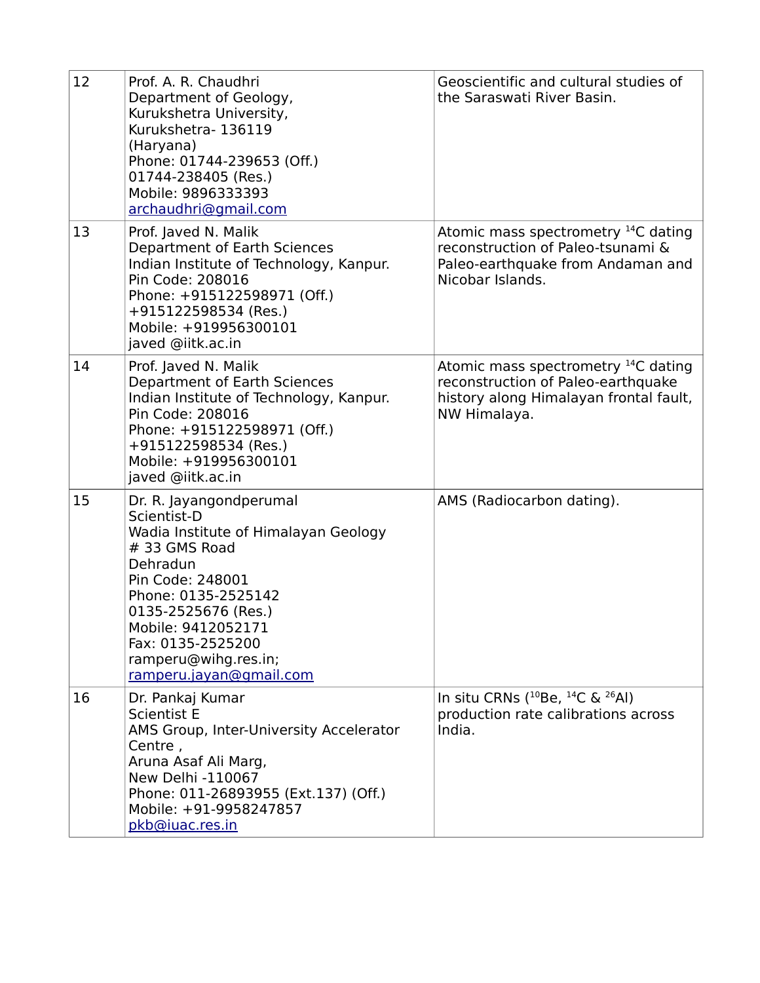| 12 | Prof. A. R. Chaudhri<br>Department of Geology,<br>Kurukshetra University,<br>Kurukshetra-136119<br>(Haryana)<br>Phone: 01744-239653 (Off.)<br>01744-238405 (Res.)<br>Mobile: 9896333393<br>archaudhri@gmail.com                                                             | Geoscientific and cultural studies of<br>the Saraswati River Basin.                                                                             |
|----|-----------------------------------------------------------------------------------------------------------------------------------------------------------------------------------------------------------------------------------------------------------------------------|-------------------------------------------------------------------------------------------------------------------------------------------------|
| 13 | Prof. Javed N. Malik<br>Department of Earth Sciences<br>Indian Institute of Technology, Kanpur.<br>Pin Code: 208016<br>Phone: +915122598971 (Off.)<br>+915122598534 (Res.)<br>Mobile: +919956300101<br>javed @iitk.ac.in                                                    | Atomic mass spectrometry <sup>14</sup> C dating<br>reconstruction of Paleo-tsunami &<br>Paleo-earthquake from Andaman and<br>Nicobar Islands.   |
| 14 | Prof. Javed N. Malik<br>Department of Earth Sciences<br>Indian Institute of Technology, Kanpur.<br>Pin Code: 208016<br>Phone: +915122598971 (Off.)<br>+915122598534 (Res.)<br>Mobile: +919956300101<br>javed @iitk.ac.in                                                    | Atomic mass spectrometry <sup>14</sup> C dating<br>reconstruction of Paleo-earthquake<br>history along Himalayan frontal fault,<br>NW Himalaya. |
| 15 | Dr. R. Jayangondperumal<br>Scientist-D<br>Wadia Institute of Himalayan Geology<br># 33 GMS Road<br>Dehradun<br>Pin Code: 248001<br>Phone: 0135-2525142<br>0135-2525676 (Res.)<br>Mobile: 9412052171<br>Fax: 0135-2525200<br>ramperu@wihg.res.in;<br>ramperu.jayan@gmail.com | AMS (Radiocarbon dating).                                                                                                                       |
| 16 | Dr. Pankaj Kumar<br><b>Scientist E</b><br>AMS Group, Inter-University Accelerator<br>Centre,<br>Aruna Asaf Ali Marg,<br>New Delhi -110067<br>Phone: 011-26893955 (Ext.137) (Off.)<br>Mobile: +91-9958247857<br>pkb@iuac.res.in                                              | In situ CRNs $(^{10}Be, ^{14}C \& ^{26}Al)$<br>production rate calibrations across<br>India.                                                    |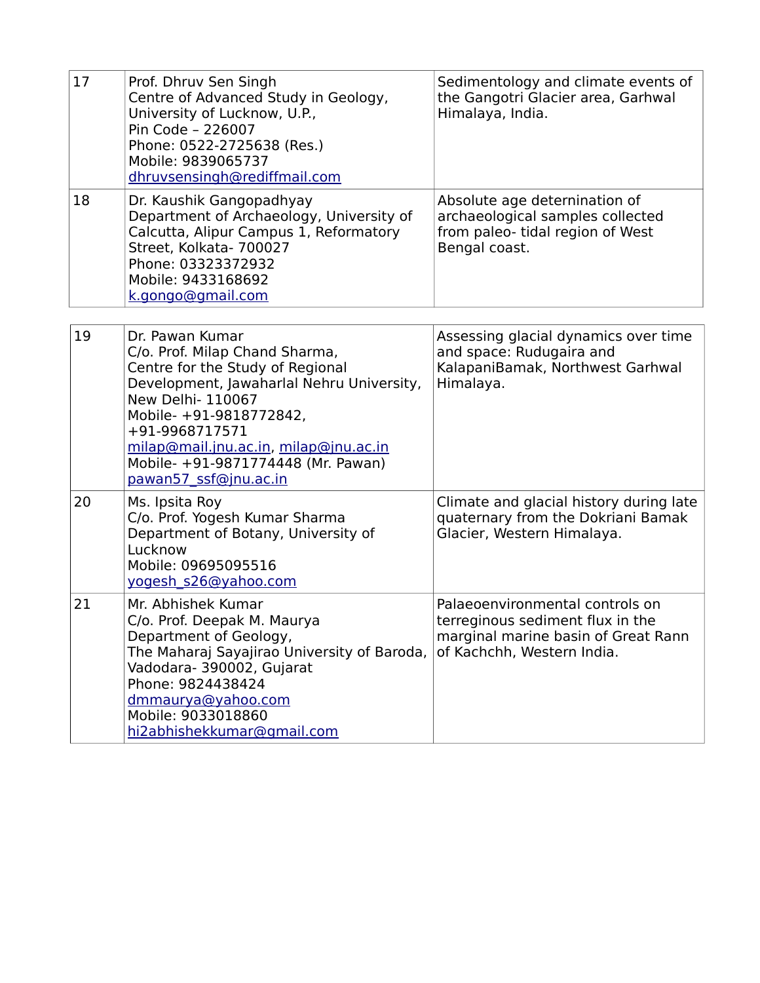| 17 | Prof. Dhruv Sen Singh<br>Centre of Advanced Study in Geology,<br>University of Lucknow, U.P.,<br>Pin Code - 226007<br>Phone: 0522-2725638 (Res.)<br>Mobile: 9839065737<br>dhruvsensingh@rediffmail.com                                                                                                       | Sedimentology and climate events of<br>the Gangotri Glacier area, Garhwal<br>Himalaya, India.                                            |
|----|--------------------------------------------------------------------------------------------------------------------------------------------------------------------------------------------------------------------------------------------------------------------------------------------------------------|------------------------------------------------------------------------------------------------------------------------------------------|
| 18 | Dr. Kaushik Gangopadhyay<br>Department of Archaeology, University of<br>Calcutta, Alipur Campus 1, Reformatory<br>Street, Kolkata- 700027<br>Phone: 03323372932<br>Mobile: 9433168692<br>k.gongo@gmail.com                                                                                                   | Absolute age deternination of<br>archaeological samples collected<br>from paleo- tidal region of West<br>Bengal coast.                   |
| 19 | Dr. Pawan Kumar<br>C/o. Prof. Milap Chand Sharma,<br>Centre for the Study of Regional<br>Development, Jawaharlal Nehru University,<br>New Delhi- 110067<br>Mobile- +91-9818772842,<br>+91-9968717571<br>milap@mail.jnu.ac.in, milap@jnu.ac.in<br>Mobile- +91-9871774448 (Mr. Pawan)<br>pawan57 ssf@jnu.ac.in | Assessing glacial dynamics over time<br>and space: Rudugaira and<br>KalapaniBamak, Northwest Garhwal<br>Himalaya.                        |
| 20 | Ms. Ipsita Roy<br>C/o. Prof. Yogesh Kumar Sharma<br>Department of Botany, University of<br>Lucknow<br>Mobile: 09695095516<br>yogesh s26@yahoo.com                                                                                                                                                            | Climate and glacial history during late<br>quaternary from the Dokriani Bamak<br>Glacier, Western Himalaya.                              |
| 21 | Mr. Abhishek Kumar<br>C/o. Prof. Deepak M. Maurya<br>Department of Geology,<br>The Maharaj Sayajirao University of Baroda,<br>Vadodara- 390002, Gujarat<br>Phone: 9824438424<br>dmmaurya@yahoo.com<br>Mobile: 9033018860<br>hi2abhishekkumar@gmail.com                                                       | Palaeoenvironmental controls on<br>terreginous sediment flux in the<br>marginal marine basin of Great Rann<br>of Kachchh, Western India. |